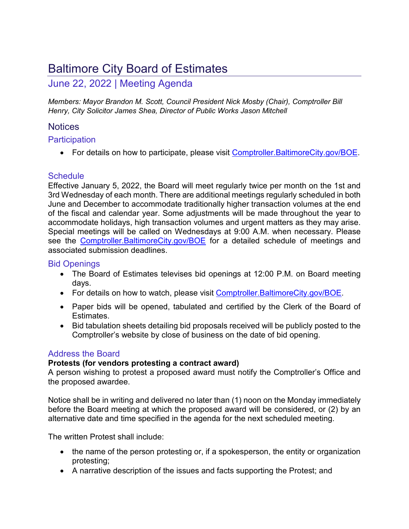# Baltimore City Board of Estimates

# June 22, 2022 | Meeting Agenda

*Members: Mayor Brandon M. Scott, Council President Nick Mosby (Chair), Comptroller Bill Henry, City Solicitor James Shea, Director of Public Works Jason Mitchell* 

# Notices

# **Participation**

• For details on how to participate, please visit Comptroller. Baltimore City.gov/BOE.

# **Schedule**

Effective January 5, 2022, the Board will meet regularly twice per month on the 1st and 3rd Wednesday of each month. There are additional meetings regularly scheduled in both June and December to accommodate traditionally higher transaction volumes at the end of the fiscal and calendar year. Some adjustments will be made throughout the year to accommodate holidays, high transaction volumes and urgent matters as they may arise. Special meetings will be called on Wednesdays at 9:00 A.M. when necessary. Please see the Comptroller. Baltimore City.gov/BOE for a detailed schedule of meetings and associated submission deadlines.

# Bid Openings

- The Board of Estimates televises bid openings at 12:00 P.M. on Board meeting days.
- For details on how to watch, please visit Comptroller. BaltimoreCity.gov/BOE.
- Paper bids will be opened, tabulated and certified by the Clerk of the Board of Estimates.
- Bid tabulation sheets detailing bid proposals received will be publicly posted to the Comptroller's website by close of business on the date of bid opening.

# Address the Board

# **Protests (for vendors protesting a contract award)**

A person wishing to protest a proposed award must notify the Comptroller's Office and the proposed awardee.

Notice shall be in writing and delivered no later than (1) noon on the Monday immediately before the Board meeting at which the proposed award will be considered, or (2) by an alternative date and time specified in the agenda for the next scheduled meeting.

The written Protest shall include:

- the name of the person protesting or, if a spokesperson, the entity or organization protesting;
- A narrative description of the issues and facts supporting the Protest; and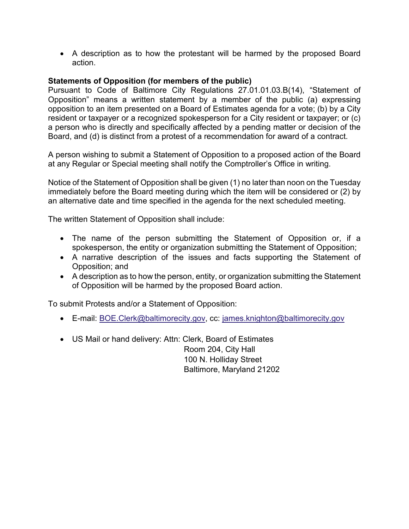A description as to how the protestant will be harmed by the proposed Board action.

# **Statements of Opposition (for members of the public)**

Pursuant to Code of Baltimore City Regulations 27.01.01.03.B(14), "Statement of Opposition" means a written statement by a member of the public (a) expressing opposition to an item presented on a Board of Estimates agenda for a vote; (b) by a City resident or taxpayer or a recognized spokesperson for a City resident or taxpayer; or (c) a person who is directly and specifically affected by a pending matter or decision of the Board, and (d) is distinct from a protest of a recommendation for award of a contract.

A person wishing to submit a Statement of Opposition to a proposed action of the Board at any Regular or Special meeting shall notify the Comptroller's Office in writing.

Notice of the Statement of Opposition shall be given (1) no later than noon on the Tuesday immediately before the Board meeting during which the item will be considered or (2) by an alternative date and time specified in the agenda for the next scheduled meeting.

The written Statement of Opposition shall include:

- The name of the person submitting the Statement of Opposition or, if a spokesperson, the entity or organization submitting the Statement of Opposition;
- A narrative description of the issues and facts supporting the Statement of Opposition; and
- A description as to how the person, entity, or organization submitting the Statement of Opposition will be harmed by the proposed Board action.

To submit Protests and/or a Statement of Opposition:

- **E-mail: BOE.Clerk@baltimorecity.gov, cc: james.knighton@baltimorecity.gov**
- US Mail or hand delivery: Attn: Clerk, Board of Estimates Room 204, City Hall 100 N. Holliday Street Baltimore, Maryland 21202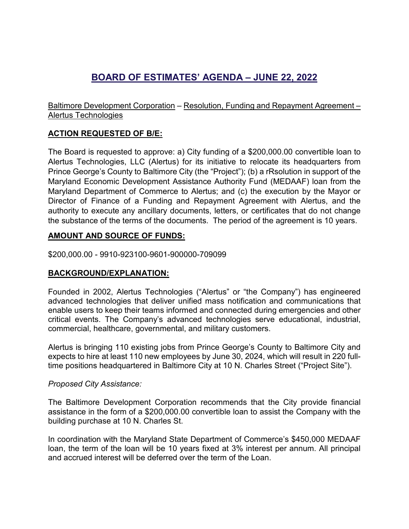# **BOARD OF ESTIMATES' AGENDA – JUNE 22, 2022**

Baltimore Development Corporation – Resolution, Funding and Repayment Agreement – Alertus Technologies

# **ACTION REQUESTED OF B/E:**

The Board is requested to approve: a) City funding of a \$200,000.00 convertible loan to Alertus Technologies, LLC (Alertus) for its initiative to relocate its headquarters from Prince George's County to Baltimore City (the "Project"); (b) a rRsolution in support of the Maryland Economic Development Assistance Authority Fund (MEDAAF) loan from the Maryland Department of Commerce to Alertus; and (c) the execution by the Mayor or Director of Finance of a Funding and Repayment Agreement with Alertus, and the authority to execute any ancillary documents, letters, or certificates that do not change the substance of the terms of the documents. The period of the agreement is 10 years.

# **AMOUNT AND SOURCE OF FUNDS:**

\$200,000.00 - 9910-923100-9601-900000-709099

# **BACKGROUND/EXPLANATION:**

Founded in 2002, Alertus Technologies ("Alertus" or "the Company") has engineered advanced technologies that deliver unified mass notification and communications that enable users to keep their teams informed and connected during emergencies and other critical events. The Company's advanced technologies serve educational, industrial, commercial, healthcare, governmental, and military customers.

Alertus is bringing 110 existing jobs from Prince George's County to Baltimore City and expects to hire at least 110 new employees by June 30, 2024, which will result in 220 fulltime positions headquartered in Baltimore City at 10 N. Charles Street ("Project Site").

# *Proposed City Assistance:*

The Baltimore Development Corporation recommends that the City provide financial assistance in the form of a \$200,000.00 convertible loan to assist the Company with the building purchase at 10 N. Charles St.

In coordination with the Maryland State Department of Commerce's \$450,000 MEDAAF loan, the term of the loan will be 10 years fixed at 3% interest per annum. All principal and accrued interest will be deferred over the term of the Loan.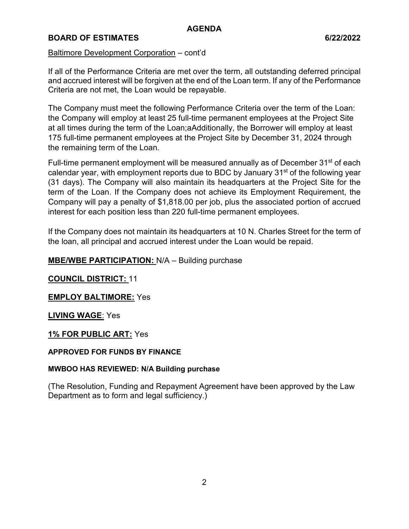# **BOARD OF ESTIMATES** 6/22/2022

# Baltimore Development Corporation – cont'd

If all of the Performance Criteria are met over the term, all outstanding deferred principal and accrued interest will be forgiven at the end of the Loan term. If any of the Performance Criteria are not met, the Loan would be repayable.

The Company must meet the following Performance Criteria over the term of the Loan: the Company will employ at least 25 full-time permanent employees at the Project Site at all times during the term of the Loan;aAdditionally, the Borrower will employ at least 175 full-time permanent employees at the Project Site by December 31, 2024 through the remaining term of the Loan.

Full-time permanent employment will be measured annually as of December 31<sup>st</sup> of each calendar year, with employment reports due to BDC by January 31<sup>st</sup> of the following year (31 days). The Company will also maintain its headquarters at the Project Site for the term of the Loan. If the Company does not achieve its Employment Requirement, the Company will pay a penalty of \$1,818.00 per job, plus the associated portion of accrued interest for each position less than 220 full-time permanent employees.

If the Company does not maintain its headquarters at 10 N. Charles Street for the term of the loan, all principal and accrued interest under the Loan would be repaid.

# **MBE/WBE PARTICIPATION:** N/A – Building purchase

# **COUNCIL DISTRICT:** 11

# **EMPLOY BALTIMORE:** Yes

# **LIVING WAGE**: Yes

# **1% FOR PUBLIC ART:** Yes

# **APPROVED FOR FUNDS BY FINANCE**

# **MWBOO HAS REVIEWED: N/A Building purchase**

(The Resolution, Funding and Repayment Agreement have been approved by the Law Department as to form and legal sufficiency.)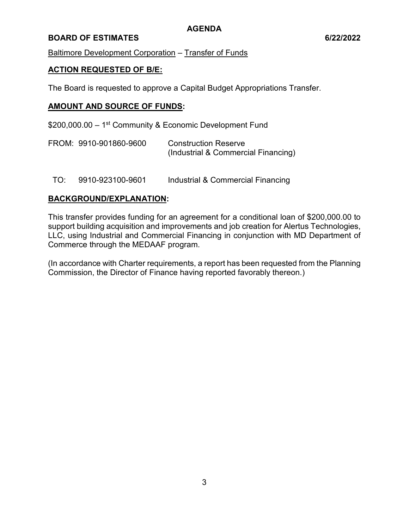# **BOARD OF ESTIMATES 6/22/2022**

Baltimore Development Corporation – Transfer of Funds

# **ACTION REQUESTED OF B/E:**

The Board is requested to approve a Capital Budget Appropriations Transfer.

# **AMOUNT AND SOURCE OF FUNDS:**

\$200,000.00 – 1<sup>st</sup> Community & Economic Development Fund

| FROM: 9910-901860-9600 | <b>Construction Reserve</b>         |  |  |
|------------------------|-------------------------------------|--|--|
|                        | (Industrial & Commercial Financing) |  |  |

TO: 9910-923100-9601 Industrial & Commercial Financing

#### **BACKGROUND/EXPLANATION:**

This transfer provides funding for an agreement for a conditional loan of \$200,000.00 to support building acquisition and improvements and job creation for Alertus Technologies, LLC, using Industrial and Commercial Financing in conjunction with MD Department of Commerce through the MEDAAF program.

(In accordance with Charter requirements, a report has been requested from the Planning Commission, the Director of Finance having reported favorably thereon.)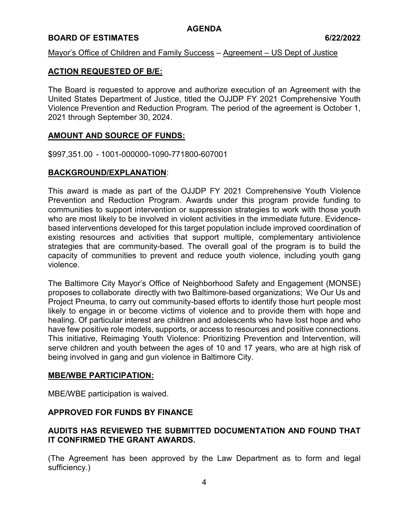#### **BOARD OF ESTIMATES** 6/22/2022

#### Mayor's Office of Children and Family Success – Agreement – US Dept of Justice

#### **ACTION REQUESTED OF B/E:**

The Board is requested to approve and authorize execution of an Agreement with the United States Department of Justice, titled the OJJDP FY 2021 Comprehensive Youth Violence Prevention and Reduction Program. The period of the agreement is October 1, 2021 through September 30, 2024.

#### **AMOUNT AND SOURCE OF FUNDS:**

\$997,351.00 - 1001-000000-1090-771800-607001

#### **BACKGROUND/EXPLANATION**:

This award is made as part of the OJJDP FY 2021 Comprehensive Youth Violence Prevention and Reduction Program. Awards under this program provide funding to communities to support intervention or suppression strategies to work with those youth who are most likely to be involved in violent activities in the immediate future. Evidencebased interventions developed for this target population include improved coordination of existing resources and activities that support multiple, complementary antiviolence strategies that are community-based. The overall goal of the program is to build the capacity of communities to prevent and reduce youth violence, including youth gang violence.

The Baltimore City Mayor's Office of Neighborhood Safety and Engagement (MONSE) proposes to collaborate directly with two Baltimore-based organizations; We Our Us and Project Pneuma, to carry out community-based efforts to identify those hurt people most likely to engage in or become victims of violence and to provide them with hope and healing. Of particular interest are children and adolescents who have lost hope and who have few positive role models, supports, or access to resources and positive connections. This initiative, Reimaging Youth Violence: Prioritizing Prevention and Intervention, will serve children and youth between the ages of 10 and 17 years, who are at high risk of being involved in gang and gun violence in Baltimore City.

# **MBE/WBE PARTICIPATION:**

MBE/WBE participation is waived.

#### **APPROVED FOR FUNDS BY FINANCE**

# **AUDITS HAS REVIEWED THE SUBMITTED DOCUMENTATION AND FOUND THAT IT CONFIRMED THE GRANT AWARDS.**

(The Agreement has been approved by the Law Department as to form and legal sufficiency.)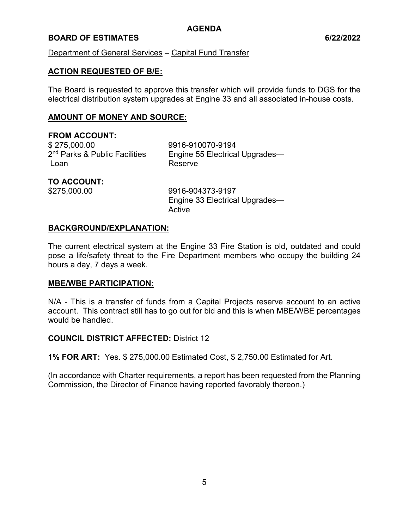# **BOARD OF ESTIMATES** 6/22/2022

### Department of General Services – Capital Fund Transfer

# **ACTION REQUESTED OF B/E:**

The Board is requested to approve this transfer which will provide funds to DGS for the electrical distribution system upgrades at Engine 33 and all associated in-house costs.

### **AMOUNT OF MONEY AND SOURCE:**

# **FROM ACCOUNT:**

\$ 275,000.00 9916-910070-9194 2<sup>nd</sup> Parks & Public Facilities Loan Reserve

Engine 55 Electrical Upgrades—

# **TO ACCOUNT:**

\$275,000.00 9916-904373-9197 Engine 33 Electrical Upgrades— Active

#### **BACKGROUND/EXPLANATION:**

The current electrical system at the Engine 33 Fire Station is old, outdated and could pose a life/safety threat to the Fire Department members who occupy the building 24 hours a day, 7 days a week.

#### **MBE/WBE PARTICIPATION:**

N/A - This is a transfer of funds from a Capital Projects reserve account to an active account. This contract still has to go out for bid and this is when MBE/WBE percentages would be handled.

#### **COUNCIL DISTRICT AFFECTED:** District 12

**1% FOR ART:** Yes. \$ 275,000.00 Estimated Cost, \$ 2,750.00 Estimated for Art.

(In accordance with Charter requirements, a report has been requested from the Planning Commission, the Director of Finance having reported favorably thereon.)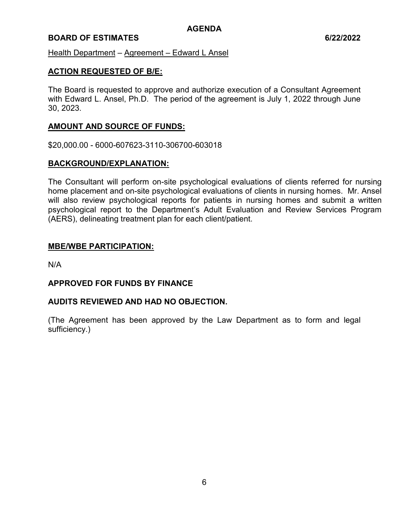# **BOARD OF ESTIMATES 6/22/2022**

Health Department – Agreement – Edward L Ansel

### **ACTION REQUESTED OF B/E:**

The Board is requested to approve and authorize execution of a Consultant Agreement with Edward L. Ansel, Ph.D. The period of the agreement is July 1, 2022 through June 30, 2023.

# **AMOUNT AND SOURCE OF FUNDS:**

\$20,000.00 - 6000-607623-3110-306700-603018

#### **BACKGROUND/EXPLANATION:**

The Consultant will perform on-site psychological evaluations of clients referred for nursing home placement and on-site psychological evaluations of clients in nursing homes. Mr. Ansel will also review psychological reports for patients in nursing homes and submit a written psychological report to the Department's Adult Evaluation and Review Services Program (AERS), delineating treatment plan for each client/patient.

#### **MBE/WBE PARTICIPATION:**

N/A

#### **APPROVED FOR FUNDS BY FINANCE**

#### **AUDITS REVIEWED AND HAD NO OBJECTION.**

(The Agreement has been approved by the Law Department as to form and legal sufficiency.)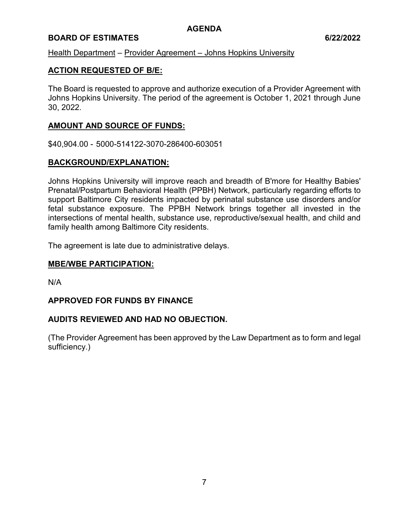# **BOARD OF ESTIMATES 6/22/2022**

# Health Department – Provider Agreement – Johns Hopkins University

# **ACTION REQUESTED OF B/E:**

The Board is requested to approve and authorize execution of a Provider Agreement with Johns Hopkins University. The period of the agreement is October 1, 2021 through June 30, 2022.

# **AMOUNT AND SOURCE OF FUNDS:**

\$40,904.00 - 5000-514122-3070-286400-603051

# **BACKGROUND/EXPLANATION:**

Johns Hopkins University will improve reach and breadth of B'more for Healthy Babies' Prenatal/Postpartum Behavioral Health (PPBH) Network, particularly regarding efforts to support Baltimore City residents impacted by perinatal substance use disorders and/or fetal substance exposure. The PPBH Network brings together all invested in the intersections of mental health, substance use, reproductive/sexual health, and child and family health among Baltimore City residents.

The agreement is late due to administrative delays.

### **MBE/WBE PARTICIPATION:**

N/A

#### **APPROVED FOR FUNDS BY FINANCE**

#### **AUDITS REVIEWED AND HAD NO OBJECTION.**

(The Provider Agreement has been approved by the Law Department as to form and legal sufficiency.)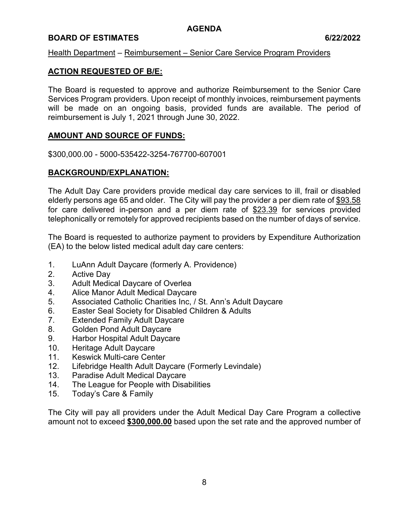# **BOARD OF ESTIMATES 6/22/2022**

#### Health Department – Reimbursement – Senior Care Service Program Providers

# **ACTION REQUESTED OF B/E:**

The Board is requested to approve and authorize Reimbursement to the Senior Care Services Program providers. Upon receipt of monthly invoices, reimbursement payments will be made on an ongoing basis, provided funds are available. The period of reimbursement is July 1, 2021 through June 30, 2022.

# **AMOUNT AND SOURCE OF FUNDS:**

\$300,000.00 - 5000-535422-3254-767700-607001

# **BACKGROUND/EXPLANATION:**

The Adult Day Care providers provide medical day care services to ill, frail or disabled elderly persons age 65 and older. The City will pay the provider a per diem rate of \$93.58 for care delivered in-person and a per diem rate of \$23.39 for services provided telephonically or remotely for approved recipients based on the number of days of service.

The Board is requested to authorize payment to providers by Expenditure Authorization (EA) to the below listed medical adult day care centers:

- 1. LuAnn Adult Daycare (formerly A. Providence)
- 2. Active Day
- 3. Adult Medical Daycare of Overlea
- 4. Alice Manor Adult Medical Daycare
- 5. Associated Catholic Charities Inc, / St. Ann's Adult Daycare
- 6. Easter Seal Society for Disabled Children & Adults
- 7. Extended Family Adult Daycare
- 8. Golden Pond Adult Daycare
- 9. Harbor Hospital Adult Daycare
- 10. Heritage Adult Daycare
- 11. Keswick Multi-care Center
- 12. Lifebridge Health Adult Daycare (Formerly Levindale)
- 13. Paradise Adult Medical Daycare
- 14. The League for People with Disabilities
- 15. Today's Care & Family

The City will pay all providers under the Adult Medical Day Care Program a collective amount not to exceed **\$300,000.00** based upon the set rate and the approved number of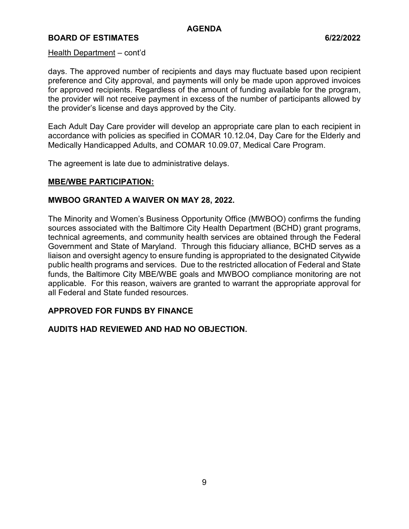# **BOARD OF ESTIMATES** 6/22/2022

#### Health Department – cont'd

days. The approved number of recipients and days may fluctuate based upon recipient preference and City approval, and payments will only be made upon approved invoices for approved recipients. Regardless of the amount of funding available for the program, the provider will not receive payment in excess of the number of participants allowed by the provider's license and days approved by the City.

Each Adult Day Care provider will develop an appropriate care plan to each recipient in accordance with policies as specified in COMAR 10.12.04, Day Care for the Elderly and Medically Handicapped Adults, and COMAR 10.09.07, Medical Care Program.

The agreement is late due to administrative delays.

#### **MBE/WBE PARTICIPATION:**

#### **MWBOO GRANTED A WAIVER ON MAY 28, 2022.**

The Minority and Women's Business Opportunity Office (MWBOO) confirms the funding sources associated with the Baltimore City Health Department (BCHD) grant programs, technical agreements, and community health services are obtained through the Federal Government and State of Maryland. Through this fiduciary alliance, BCHD serves as a liaison and oversight agency to ensure funding is appropriated to the designated Citywide public health programs and services. Due to the restricted allocation of Federal and State funds, the Baltimore City MBE/WBE goals and MWBOO compliance monitoring are not applicable. For this reason, waivers are granted to warrant the appropriate approval for all Federal and State funded resources.

#### **APPROVED FOR FUNDS BY FINANCE**

# **AUDITS HAD REVIEWED AND HAD NO OBJECTION.**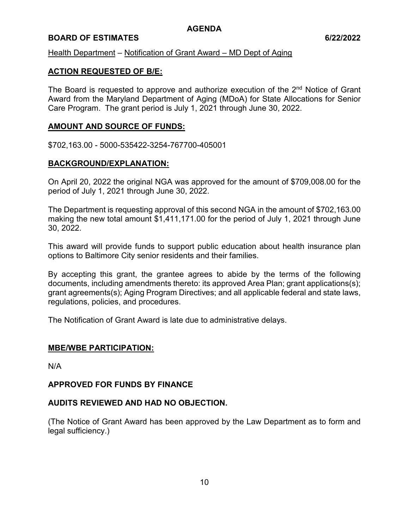# **BOARD OF ESTIMATES** 6/22/2022

#### Health Department – Notification of Grant Award – MD Dept of Aging

### **ACTION REQUESTED OF B/E:**

The Board is requested to approve and authorize execution of the 2<sup>nd</sup> Notice of Grant Award from the Maryland Department of Aging (MDoA) for State Allocations for Senior Care Program. The grant period is July 1, 2021 through June 30, 2022.

### **AMOUNT AND SOURCE OF FUNDS:**

\$702,163.00 - 5000-535422-3254-767700-405001

#### **BACKGROUND/EXPLANATION:**

On April 20, 2022 the original NGA was approved for the amount of \$709,008.00 for the period of July 1, 2021 through June 30, 2022.

The Department is requesting approval of this second NGA in the amount of \$702,163.00 making the new total amount \$1,411,171.00 for the period of July 1, 2021 through June 30, 2022.

This award will provide funds to support public education about health insurance plan options to Baltimore City senior residents and their families.

By accepting this grant, the grantee agrees to abide by the terms of the following documents, including amendments thereto: its approved Area Plan; grant applications(s); grant agreements(s); Aging Program Directives; and all applicable federal and state laws, regulations, policies, and procedures.

The Notification of Grant Award is late due to administrative delays.

#### **MBE/WBE PARTICIPATION:**

N/A

#### **APPROVED FOR FUNDS BY FINANCE**

#### **AUDITS REVIEWED AND HAD NO OBJECTION.**

(The Notice of Grant Award has been approved by the Law Department as to form and legal sufficiency.)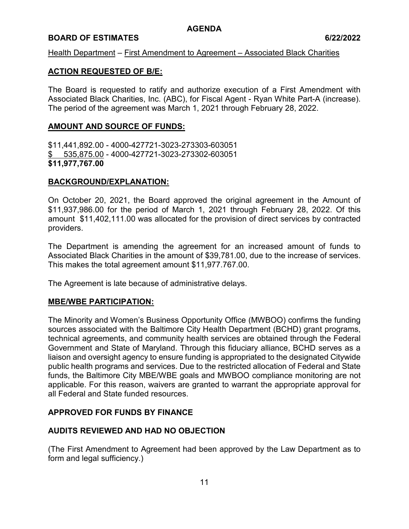# **BOARD OF ESTIMATES** 6/22/2022

Health Department – First Amendment to Agreement – Associated Black Charities

### **ACTION REQUESTED OF B/E:**

The Board is requested to ratify and authorize execution of a First Amendment with Associated Black Charities, Inc. (ABC), for Fiscal Agent - Ryan White Part-A (increase). The period of the agreement was March 1, 2021 through February 28, 2022.

### **AMOUNT AND SOURCE OF FUNDS:**

\$11,441,892.00 - 4000-427721-3023-273303-603051 \$ 535,875.00 - 4000-427721-3023-273302-603051 **\$11,977,767.00**

# **BACKGROUND/EXPLANATION:**

On October 20, 2021, the Board approved the original agreement in the Amount of \$11,937,986.00 for the period of March 1, 2021 through February 28, 2022. Of this amount \$11,402,111.00 was allocated for the provision of direct services by contracted providers.

The Department is amending the agreement for an increased amount of funds to Associated Black Charities in the amount of \$39,781.00, due to the increase of services. This makes the total agreement amount \$11,977.767.00.

The Agreement is late because of administrative delays.

#### **MBE/WBE PARTICIPATION:**

The Minority and Women's Business Opportunity Office (MWBOO) confirms the funding sources associated with the Baltimore City Health Department (BCHD) grant programs, technical agreements, and community health services are obtained through the Federal Government and State of Maryland. Through this fiduciary alliance, BCHD serves as a liaison and oversight agency to ensure funding is appropriated to the designated Citywide public health programs and services. Due to the restricted allocation of Federal and State funds, the Baltimore City MBE/WBE goals and MWBOO compliance monitoring are not applicable. For this reason, waivers are granted to warrant the appropriate approval for all Federal and State funded resources.

# **APPROVED FOR FUNDS BY FINANCE**

# **AUDITS REVIEWED AND HAD NO OBJECTION**

(The First Amendment to Agreement had been approved by the Law Department as to form and legal sufficiency.)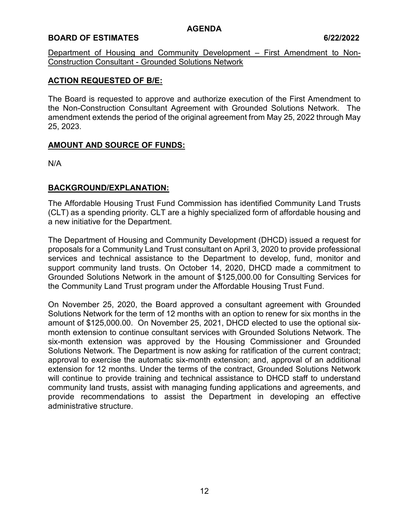# **BOARD OF ESTIMATES 6/22/2022**

Department of Housing and Community Development – First Amendment to Non-Construction Consultant - Grounded Solutions Network

# **ACTION REQUESTED OF B/E:**

The Board is requested to approve and authorize execution of the First Amendment to the Non-Construction Consultant Agreement with Grounded Solutions Network. The amendment extends the period of the original agreement from May 25, 2022 through May 25, 2023.

# **AMOUNT AND SOURCE OF FUNDS:**

N/A

# **BACKGROUND/EXPLANATION:**

The Affordable Housing Trust Fund Commission has identified Community Land Trusts (CLT) as a spending priority. CLT are a highly specialized form of affordable housing and a new initiative for the Department.

The Department of Housing and Community Development (DHCD) issued a request for proposals for a Community Land Trust consultant on April 3, 2020 to provide professional services and technical assistance to the Department to develop, fund, monitor and support community land trusts. On October 14, 2020, DHCD made a commitment to Grounded Solutions Network in the amount of \$125,000.00 for Consulting Services for the Community Land Trust program under the Affordable Housing Trust Fund.

On November 25, 2020, the Board approved a consultant agreement with Grounded Solutions Network for the term of 12 months with an option to renew for six months in the amount of \$125,000.00. On November 25, 2021, DHCD elected to use the optional sixmonth extension to continue consultant services with Grounded Solutions Network. The six-month extension was approved by the Housing Commissioner and Grounded Solutions Network. The Department is now asking for ratification of the current contract; approval to exercise the automatic six-month extension; and, approval of an additional extension for 12 months. Under the terms of the contract, Grounded Solutions Network will continue to provide training and technical assistance to DHCD staff to understand community land trusts, assist with managing funding applications and agreements, and provide recommendations to assist the Department in developing an effective administrative structure.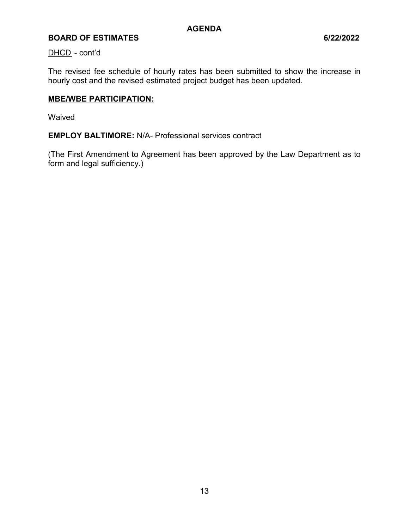# **BOARD OF ESTIMATES 6/22/2022**

#### DHCD - cont'd

The revised fee schedule of hourly rates has been submitted to show the increase in hourly cost and the revised estimated project budget has been updated.

#### **MBE/WBE PARTICIPATION:**

Waived

**EMPLOY BALTIMORE:** N/A- Professional services contract

(The First Amendment to Agreement has been approved by the Law Department as to form and legal sufficiency.)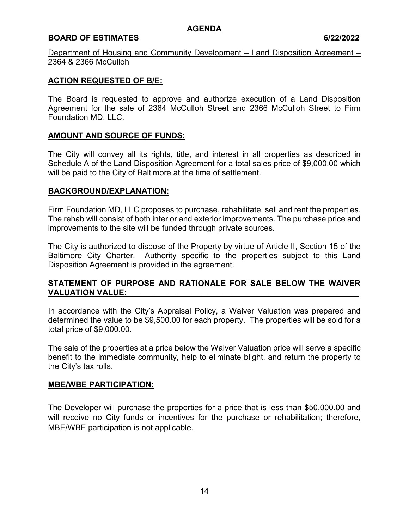# **BOARD OF ESTIMATES 6/22/2022**

Department of Housing and Community Development – Land Disposition Agreement – 2364 & 2366 McCulloh

# **ACTION REQUESTED OF B/E:**

The Board is requested to approve and authorize execution of a Land Disposition Agreement for the sale of 2364 McCulloh Street and 2366 McCulloh Street to Firm Foundation MD, LLC.

# **AMOUNT AND SOURCE OF FUNDS:**

The City will convey all its rights, title, and interest in all properties as described in Schedule A of the Land Disposition Agreement for a total sales price of \$9,000.00 which will be paid to the City of Baltimore at the time of settlement.

#### **BACKGROUND/EXPLANATION:**

Firm Foundation MD, LLC proposes to purchase, rehabilitate, sell and rent the properties. The rehab will consist of both interior and exterior improvements. The purchase price and improvements to the site will be funded through private sources.

The City is authorized to dispose of the Property by virtue of Article II, Section 15 of the Baltimore City Charter. Authority specific to the properties subject to this Land Disposition Agreement is provided in the agreement.

# **STATEMENT OF PURPOSE AND RATIONALE FOR SALE BELOW THE WAIVER VALUATION VALUE:**

In accordance with the City's Appraisal Policy, a Waiver Valuation was prepared and determined the value to be \$9,500.00 for each property. The properties will be sold for a total price of \$9,000.00.

The sale of the properties at a price below the Waiver Valuation price will serve a specific benefit to the immediate community, help to eliminate blight, and return the property to the City's tax rolls.

#### **MBE/WBE PARTICIPATION:**

The Developer will purchase the properties for a price that is less than \$50,000.00 and will receive no City funds or incentives for the purchase or rehabilitation; therefore, MBE/WBE participation is not applicable.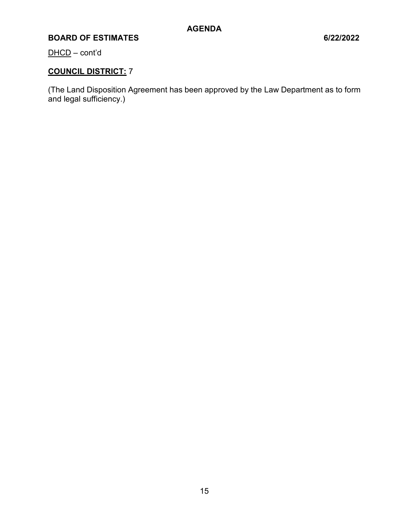# **BOARD OF ESTIMATES 6/22/2022**

DHCD – cont'd

# **COUNCIL DISTRICT:** 7

(The Land Disposition Agreement has been approved by the Law Department as to form and legal sufficiency.)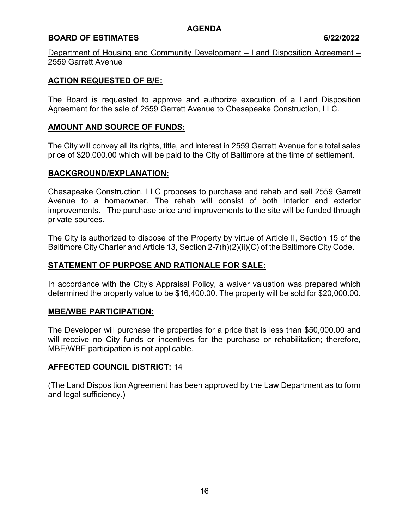# **BOARD OF ESTIMATES 6/22/2022**

Department of Housing and Community Development – Land Disposition Agreement – 2559 Garrett Avenue

# **ACTION REQUESTED OF B/E:**

The Board is requested to approve and authorize execution of a Land Disposition Agreement for the sale of 2559 Garrett Avenue to Chesapeake Construction, LLC.

### **AMOUNT AND SOURCE OF FUNDS:**

The City will convey all its rights, title, and interest in 2559 Garrett Avenue for a total sales price of \$20,000.00 which will be paid to the City of Baltimore at the time of settlement.

# **BACKGROUND/EXPLANATION:**

Chesapeake Construction, LLC proposes to purchase and rehab and sell 2559 Garrett Avenue to a homeowner. The rehab will consist of both interior and exterior improvements. The purchase price and improvements to the site will be funded through private sources.

The City is authorized to dispose of the Property by virtue of Article II, Section 15 of the Baltimore City Charter and Article 13, Section 2-7(h)(2)(ii)(C) of the Baltimore City Code.

# **STATEMENT OF PURPOSE AND RATIONALE FOR SALE:**

In accordance with the City's Appraisal Policy, a waiver valuation was prepared which determined the property value to be \$16,400.00. The property will be sold for \$20,000.00.

#### **MBE/WBE PARTICIPATION:**

The Developer will purchase the properties for a price that is less than \$50,000.00 and will receive no City funds or incentives for the purchase or rehabilitation; therefore, MBE/WBE participation is not applicable.

#### **AFFECTED COUNCIL DISTRICT:** 14

(The Land Disposition Agreement has been approved by the Law Department as to form and legal sufficiency.)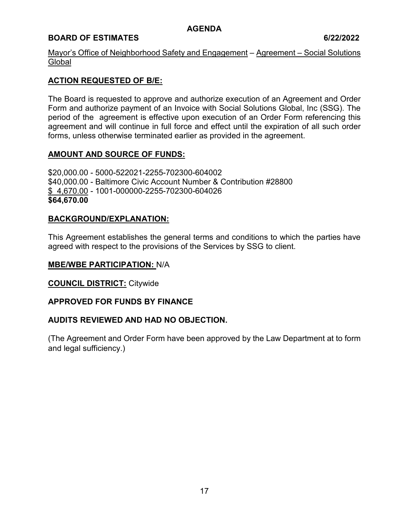# **BOARD OF ESTIMATES 6/22/2022**

Mayor's Office of Neighborhood Safety and Engagement – Agreement – Social Solutions **Global** 

# **ACTION REQUESTED OF B/E:**

The Board is requested to approve and authorize execution of an Agreement and Order Form and authorize payment of an Invoice with Social Solutions Global, Inc (SSG). The period of the agreement is effective upon execution of an Order Form referencing this agreement and will continue in full force and effect until the expiration of all such order forms, unless otherwise terminated earlier as provided in the agreement.

# **AMOUNT AND SOURCE OF FUNDS:**

\$20,000.00 - 5000-522021-2255-702300-604002 \$40,000.00 - Baltimore Civic Account Number & Contribution #28800 \$ 4,670.00 - 1001-000000-2255-702300-604026 **\$64,670.00** 

#### **BACKGROUND/EXPLANATION:**

This Agreement establishes the general terms and conditions to which the parties have agreed with respect to the provisions of the Services by SSG to client.

#### **MBE/WBE PARTICIPATION:** N/A

**COUNCIL DISTRICT:** Citywide

#### **APPROVED FOR FUNDS BY FINANCE**

#### **AUDITS REVIEWED AND HAD NO OBJECTION.**

(The Agreement and Order Form have been approved by the Law Department at to form and legal sufficiency.)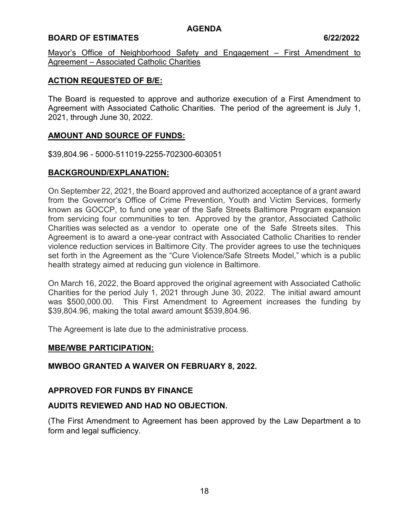# **BOARD OF ESTIMATES 6/22/2022**

Mayor's Office of Neighborhood Safety and Engagement – First Amendment to Agreement – Associated Catholic Charities

# **ACTION REQUESTED OF B/E:**

The Board is requested to approve and authorize execution of a First Amendment to Agreement with Associated Catholic Charities. The period of the agreement is July 1, 2021, through June 30, 2022.

# **AMOUNT AND SOURCE OF FUNDS:**

\$39,804.96 - 5000-511019-2255-702300-603051

# **BACKGROUND/EXPLANATION:**

On September 22, 2021, the Board approved and authorized acceptance of a grant award from the Governor's Office of Crime Prevention, Youth and Victim Services, formerly known as GOCCP, to fund one year of the Safe Streets Baltimore Program expansion from servicing four communities to ten. Approved by the grantor, Associated Catholic Charities was selected as a vendor to operate one of the Safe Streets sites. This Agreement is to award a one-year contract with Associated Catholic Charities to render violence reduction services in Baltimore City. The provider agrees to use the techniques set forth in the Agreement as the "Cure Violence/Safe Streets Model," which is a public health strategy aimed at reducing gun violence in Baltimore.

On March 16, 2022, the Board approved the original agreement with Associated Catholic Charities for the period July 1, 2021 through June 30, 2022. The initial award amount was \$500,000.00. This First Amendment to Agreement increases the funding by \$39,804.96, making the total award amount \$539,804.96.

The Agreement is late due to the administrative process.

#### **MBE/WBE PARTICIPATION:**

#### **MWBOO GRANTED A WAIVER ON FEBRUARY 8, 2022.**

#### **APPROVED FOR FUNDS BY FINANCE**

#### **AUDITS REVIEWED AND HAD NO OBJECTION.**

(The First Amendment to Agreement has been approved by the Law Department a to form and legal sufficiency.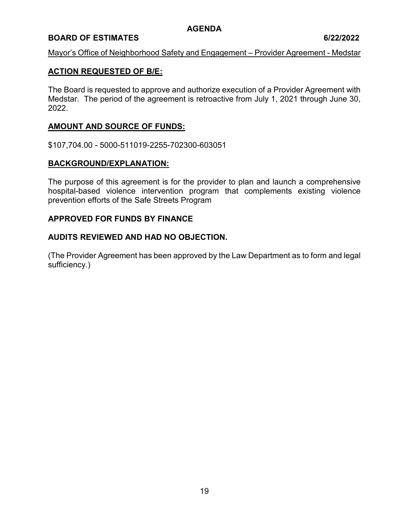# **BOARD OF ESTIMATES 6/22/2022**

#### Mayor's Office of Neighborhood Safety and Engagement – Provider Agreement - Medstar

# **ACTION REQUESTED OF B/E:**

The Board is requested to approve and authorize execution of a Provider Agreement with Medstar. The period of the agreement is retroactive from July 1, 2021 through June 30, 2022.

# **AMOUNT AND SOURCE OF FUNDS:**

\$107,704.00 - 5000-511019-2255-702300-603051

#### **BACKGROUND/EXPLANATION:**

The purpose of this agreement is for the provider to plan and launch a comprehensive hospital-based violence intervention program that complements existing violence prevention efforts of the Safe Streets Program

#### **APPROVED FOR FUNDS BY FINANCE**

#### **AUDITS REVIEWED AND HAD NO OBJECTION.**

(The Provider Agreement has been approved by the Law Department as to form and legal sufficiency.)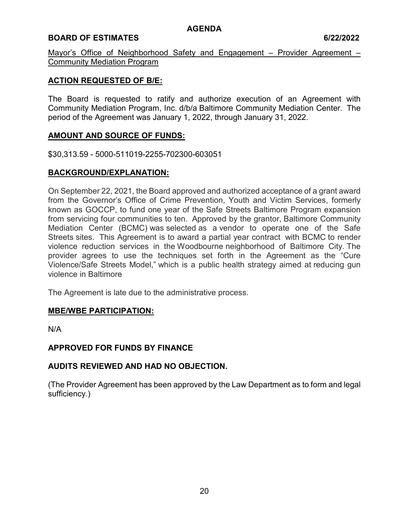# **BOARD OF ESTIMATES 6/22/2022**

Mayor's Office of Neighborhood Safety and Engagement – Provider Agreement – Community Mediation Program

# **ACTION REQUESTED OF B/E:**

The Board is requested to ratify and authorize execution of an Agreement with Community Mediation Program, Inc. d/b/a Baltimore Community Mediation Center. The period of the Agreement was January 1, 2022, through January 31, 2022.

# **AMOUNT AND SOURCE OF FUNDS:**

\$30,313.59 - 5000-511019-2255-702300-603051

# **BACKGROUND/EXPLANATION:**

On September 22, 2021, the Board approved and authorized acceptance of a grant award from the Governor's Office of Crime Prevention, Youth and Victim Services, formerly known as GOCCP, to fund one year of the Safe Streets Baltimore Program expansion from servicing four communities to ten. Approved by the grantor, Baltimore Community Mediation Center (BCMC) was selected as a vendor to operate one of the Safe Streets sites. This Agreement is to award a partial year contract with BCMC to render violence reduction services in the Woodbourne neighborhood of Baltimore City. The provider agrees to use the techniques set forth in the Agreement as the "Cure Violence/Safe Streets Model," which is a public health strategy aimed at reducing gun violence in Baltimore

The Agreement is late due to the administrative process.

#### **MBE/WBE PARTICIPATION:**

N/A

#### **APPROVED FOR FUNDS BY FINANCE**

# **AUDITS REVIEWED AND HAD NO OBJECTION.**

(The Provider Agreement has been approved by the Law Department as to form and legal sufficiency.)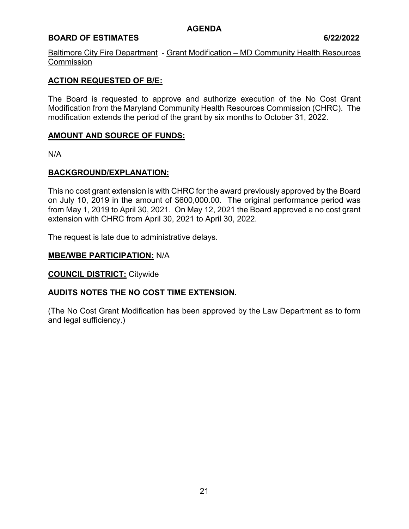# **BOARD OF ESTIMATES 6/22/2022**

Baltimore City Fire Department - Grant Modification – MD Community Health Resources **Commission** 

# **ACTION REQUESTED OF B/E:**

The Board is requested to approve and authorize execution of the No Cost Grant Modification from the Maryland Community Health Resources Commission (CHRC). The modification extends the period of the grant by six months to October 31, 2022.

#### **AMOUNT AND SOURCE OF FUNDS:**

N/A

# **BACKGROUND/EXPLANATION:**

This no cost grant extension is with CHRC for the award previously approved by the Board on July 10, 2019 in the amount of \$600,000.00. The original performance period was from May 1, 2019 to April 30, 2021. On May 12, 2021 the Board approved a no cost grant extension with CHRC from April 30, 2021 to April 30, 2022.

The request is late due to administrative delays.

#### **MBE/WBE PARTICIPATION:** N/A

**COUNCIL DISTRICT:** Citywide

#### **AUDITS NOTES THE NO COST TIME EXTENSION.**

(The No Cost Grant Modification has been approved by the Law Department as to form and legal sufficiency.)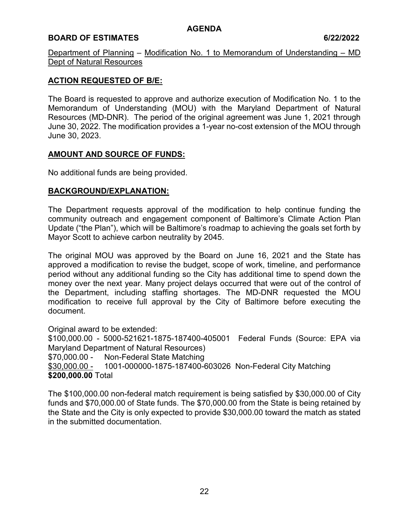# **BOARD OF ESTIMATES 6/22/2022**

Department of Planning – Modification No. 1 to Memorandum of Understanding – MD Dept of Natural Resources

# **ACTION REQUESTED OF B/E:**

The Board is requested to approve and authorize execution of Modification No. 1 to the Memorandum of Understanding (MOU) with the Maryland Department of Natural Resources (MD-DNR). The period of the original agreement was June 1, 2021 through June 30, 2022. The modification provides a 1-year no-cost extension of the MOU through June 30, 2023.

# **AMOUNT AND SOURCE OF FUNDS:**

No additional funds are being provided.

# **BACKGROUND/EXPLANATION:**

The Department requests approval of the modification to help continue funding the community outreach and engagement component of Baltimore's Climate Action Plan Update ("the Plan"), which will be Baltimore's roadmap to achieving the goals set forth by Mayor Scott to achieve carbon neutrality by 2045.

The original MOU was approved by the Board on June 16, 2021 and the State has approved a modification to revise the budget, scope of work, timeline, and performance period without any additional funding so the City has additional time to spend down the money over the next year. Many project delays occurred that were out of the control of the Department, including staffing shortages. The MD-DNR requested the MOU modification to receive full approval by the City of Baltimore before executing the document.

Original award to be extended: \$100,000.00 - 5000-521621-1875-187400-405001 Federal Funds (Source: EPA via Maryland Department of Natural Resources) \$70,000.00 - Non-Federal State Matching \$30,000.00 - 1001-000000-1875-187400-603026 Non-Federal City Matching **\$200,000.00** Total

The \$100,000.00 non-federal match requirement is being satisfied by \$30,000.00 of City funds and \$70,000.00 of State funds. The \$70,000.00 from the State is being retained by the State and the City is only expected to provide \$30,000.00 toward the match as stated in the submitted documentation.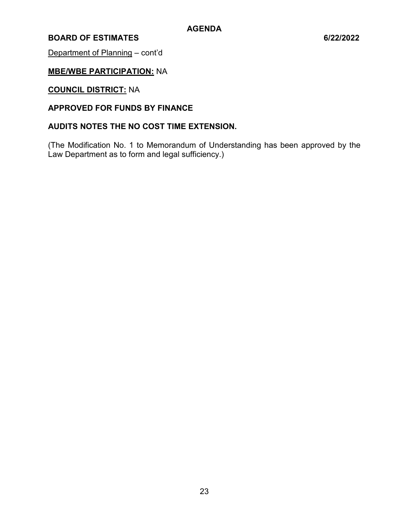# **BOARD OF ESTIMATES 6/22/2022**

Department of Planning – cont'd

# **MBE/WBE PARTICIPATION:** NA

# **COUNCIL DISTRICT:** NA

# **APPROVED FOR FUNDS BY FINANCE**

# **AUDITS NOTES THE NO COST TIME EXTENSION.**

(The Modification No. 1 to Memorandum of Understanding has been approved by the Law Department as to form and legal sufficiency.)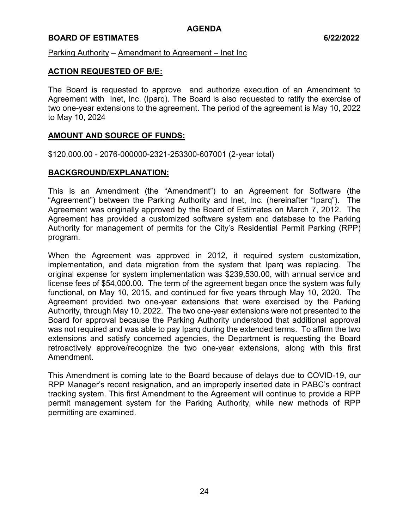# **BOARD OF ESTIMATES 6/22/2022**

Parking Authority – Amendment to Agreement – Inet Inc

### **ACTION REQUESTED OF B/E:**

The Board is requested to approve and authorize execution of an Amendment to Agreement with Inet, Inc. (Iparq). The Board is also requested to ratify the exercise of two one-year extensions to the agreement. The period of the agreement is May 10, 2022 to May 10, 2024

#### **AMOUNT AND SOURCE OF FUNDS:**

\$120,000.00 - 2076-000000-2321-253300-607001 (2-year total)

# **BACKGROUND/EXPLANATION:**

This is an Amendment (the "Amendment") to an Agreement for Software (the "Agreement") between the Parking Authority and Inet, Inc. (hereinafter "Iparq"). The Agreement was originally approved by the Board of Estimates on March 7, 2012. The Agreement has provided a customized software system and database to the Parking Authority for management of permits for the City's Residential Permit Parking (RPP) program.

When the Agreement was approved in 2012, it required system customization, implementation, and data migration from the system that Iparq was replacing. The original expense for system implementation was \$239,530.00, with annual service and license fees of \$54,000.00. The term of the agreement began once the system was fully functional, on May 10, 2015, and continued for five years through May 10, 2020. The Agreement provided two one-year extensions that were exercised by the Parking Authority, through May 10, 2022. The two one-year extensions were not presented to the Board for approval because the Parking Authority understood that additional approval was not required and was able to pay Iparq during the extended terms. To affirm the two extensions and satisfy concerned agencies, the Department is requesting the Board retroactively approve/recognize the two one-year extensions, along with this first Amendment.

This Amendment is coming late to the Board because of delays due to COVID-19, our RPP Manager's recent resignation, and an improperly inserted date in PABC's contract tracking system. This first Amendment to the Agreement will continue to provide a RPP permit management system for the Parking Authority, while new methods of RPP permitting are examined.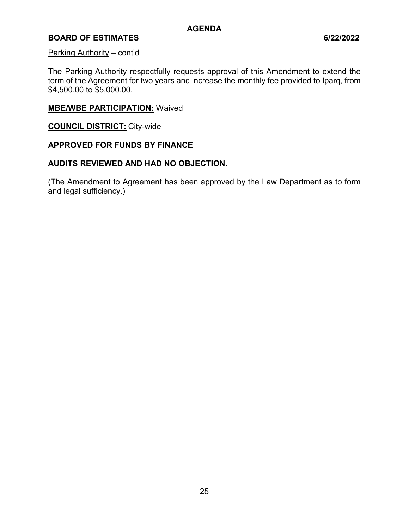# **BOARD OF ESTIMATES 6/22/2022**

#### Parking Authority – cont'd

The Parking Authority respectfully requests approval of this Amendment to extend the term of the Agreement for two years and increase the monthly fee provided to Iparq, from \$4,500.00 to \$5,000.00.

# **MBE/WBE PARTICIPATION:** Waived

**COUNCIL DISTRICT:** City-wide

# **APPROVED FOR FUNDS BY FINANCE**

#### **AUDITS REVIEWED AND HAD NO OBJECTION.**

(The Amendment to Agreement has been approved by the Law Department as to form and legal sufficiency.)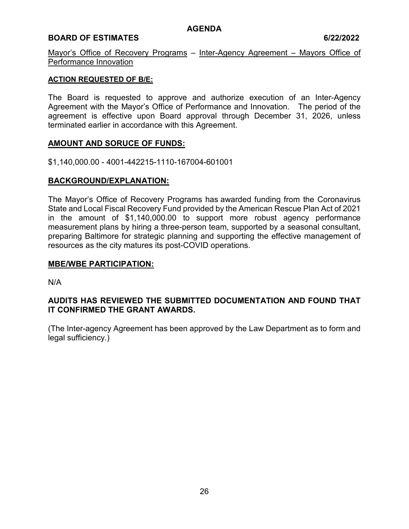# **BOARD OF ESTIMATES 6/22/2022**

Mayor's Office of Recovery Programs – Inter-Agency Agreement – Mayors Office of Performance Innovation

### **ACTION REQUESTED OF B/E:**

The Board is requested to approve and authorize execution of an Inter-Agency Agreement with the Mayor's Office of Performance and Innovation. The period of the agreement is effective upon Board approval through December 31, 2026, unless terminated earlier in accordance with this Agreement.

# **AMOUNT AND SORUCE OF FUNDS:**

\$1,140,000.00 - 4001-442215-1110-167004-601001

# **BACKGROUND/EXPLANATION:**

The Mayor's Office of Recovery Programs has awarded funding from the Coronavirus State and Local Fiscal Recovery Fund provided by the American Rescue Plan Act of 2021 in the amount of \$1,140,000.00 to support more robust agency performance measurement plans by hiring a three-person team, supported by a seasonal consultant, preparing Baltimore for strategic planning and supporting the effective management of resources as the city matures its post-COVID operations.

### **MBE/WBE PARTICIPATION:**

N/A

# **AUDITS HAS REVIEWED THE SUBMITTED DOCUMENTATION AND FOUND THAT IT CONFIRMED THE GRANT AWARDS.**

(The Inter-agency Agreement has been approved by the Law Department as to form and legal sufficiency.)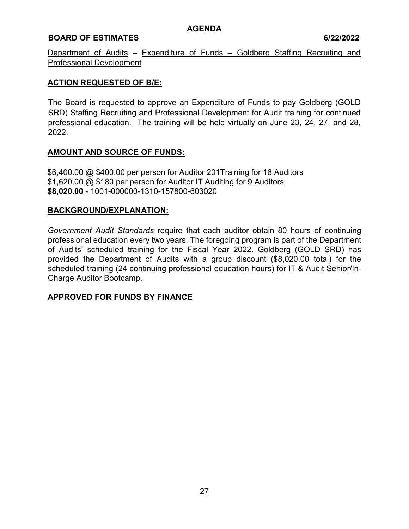# **BOARD OF ESTIMATES 6/22/2022**

Department of Audits - Expenditure of Funds - Goldberg Staffing Recruiting and Professional Development

# **ACTION REQUESTED OF B/E:**

The Board is requested to approve an Expenditure of Funds to pay Goldberg (GOLD SRD) Staffing Recruiting and Professional Development for Audit training for continued professional education. The training will be held virtually on June 23, 24, 27, and 28, 2022.

# **AMOUNT AND SOURCE OF FUNDS:**

\$6,400.00 @ \$400.00 per person for Auditor 201Training for 16 Auditors \$1,620.00 @ \$180 per person for Auditor IT Auditing for 9 Auditors **\$8,020.00** - 1001-000000-1310-157800-603020

# **BACKGROUND/EXPLANATION:**

*Government Audit Standards* require that each auditor obtain 80 hours of continuing professional education every two years. The foregoing program is part of the Department of Audits' scheduled training for the Fiscal Year 2022. Goldberg (GOLD SRD) has provided the Department of Audits with a group discount (\$8,020.00 total) for the scheduled training (24 continuing professional education hours) for IT & Audit Senior/In-Charge Auditor Bootcamp.

# **APPROVED FOR FUNDS BY FINANCE**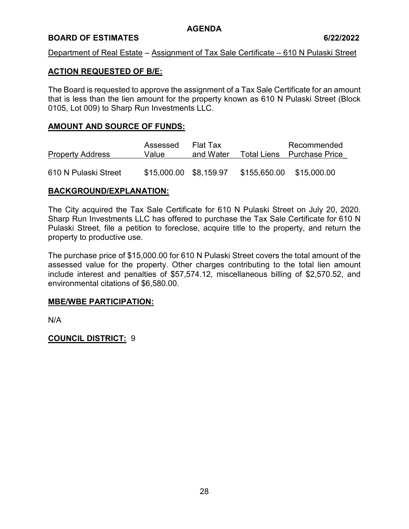# **BOARD OF ESTIMATES 6/22/2022**

# Department of Real Estate – Assignment of Tax Sale Certificate – 610 N Pulaski Street

# **ACTION REQUESTED OF B/E:**

The Board is requested to approve the assignment of a Tax Sale Certificate for an amount that is less than the lien amount for the property known as 610 N Pulaski Street (Block 0105, Lot 009) to Sharp Run Investments LLC.

### **AMOUNT AND SOURCE OF FUNDS:**

|                         | Assessed               | Flat Tax  | Recommended                |
|-------------------------|------------------------|-----------|----------------------------|
| <b>Property Address</b> | Value                  | and Water | Total Liens Purchase Price |
|                         |                        |           |                            |
| 610 N Pulaski Street    | \$15,000.00 \$8,159.97 |           | \$155,650.00 \$15,000.00   |

# **BACKGROUND/EXPLANATION:**

The City acquired the Tax Sale Certificate for 610 N Pulaski Street on July 20, 2020. Sharp Run Investments LLC has offered to purchase the Tax Sale Certificate for 610 N Pulaski Street, file a petition to foreclose, acquire title to the property, and return the property to productive use.

The purchase price of \$15,000.00 for 610 N Pulaski Street covers the total amount of the assessed value for the property. Other charges contributing to the total lien amount include interest and penalties of \$57,574.12, miscellaneous billing of \$2,570.52, and environmental citations of \$6,580.00.

#### **MBE/WBE PARTICIPATION:**

N/A

**COUNCIL DISTRICT:** 9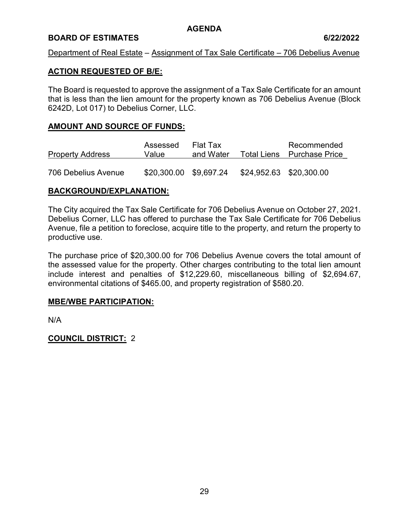# **BOARD OF ESTIMATES 6/22/2022**

# Department of Real Estate – Assignment of Tax Sale Certificate – 706 Debelius Avenue

# **ACTION REQUESTED OF B/E:**

The Board is requested to approve the assignment of a Tax Sale Certificate for an amount that is less than the lien amount for the property known as 706 Debelius Avenue (Block 6242D, Lot 017) to Debelius Corner, LLC.

# **AMOUNT AND SOURCE OF FUNDS:**

| <b>Property Address</b> | Assessed<br>Value      | Flat Tax<br>and Water |                         | Recommended<br>Total Liens Purchase Price |
|-------------------------|------------------------|-----------------------|-------------------------|-------------------------------------------|
| 706 Debelius Avenue     | \$20,300.00 \$9,697.24 |                       | \$24,952.63 \$20,300.00 |                                           |

# **BACKGROUND/EXPLANATION:**

The City acquired the Tax Sale Certificate for 706 Debelius Avenue on October 27, 2021. Debelius Corner, LLC has offered to purchase the Tax Sale Certificate for 706 Debelius Avenue, file a petition to foreclose, acquire title to the property, and return the property to productive use.

The purchase price of \$20,300.00 for 706 Debelius Avenue covers the total amount of the assessed value for the property. Other charges contributing to the total lien amount include interest and penalties of \$12,229.60, miscellaneous billing of \$2,694.67, environmental citations of \$465.00, and property registration of \$580.20.

#### **MBE/WBE PARTICIPATION:**

N/A

# **COUNCIL DISTRICT:** 2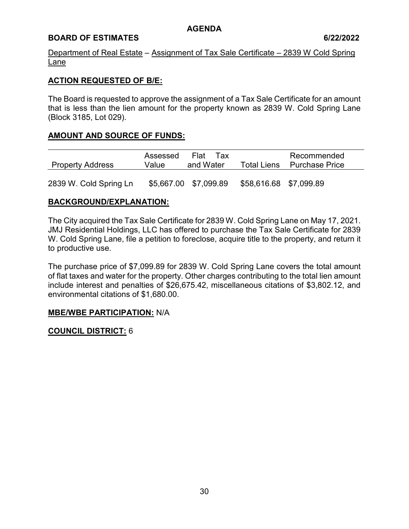# **BOARD OF ESTIMATES 6/22/2022**

Department of Real Estate – Assignment of Tax Sale Certificate – 2839 W Cold Spring Lane

# **ACTION REQUESTED OF B/E:**

The Board is requested to approve the assignment of a Tax Sale Certificate for an amount that is less than the lien amount for the property known as 2839 W. Cold Spring Lane (Block 3185, Lot 029).

# **AMOUNT AND SOURCE OF FUNDS:**

| <b>Property Address</b> | Assessed<br>Value | Flat<br>Tax<br>and Water | <b>Total Liens</b>     | Recommended<br><b>Purchase Price</b> |  |
|-------------------------|-------------------|--------------------------|------------------------|--------------------------------------|--|
| 2839 W. Cold Spring Ln  |                   | \$5,667.00 \$7,099.89    | \$58,616.68 \$7,099.89 |                                      |  |

# **BACKGROUND/EXPLANATION:**

The City acquired the Tax Sale Certificate for 2839 W. Cold Spring Lane on May 17, 2021. JMJ Residential Holdings, LLC has offered to purchase the Tax Sale Certificate for 2839 W. Cold Spring Lane, file a petition to foreclose, acquire title to the property, and return it to productive use.

The purchase price of \$7,099.89 for 2839 W. Cold Spring Lane covers the total amount of flat taxes and water for the property. Other charges contributing to the total lien amount include interest and penalties of \$26,675.42, miscellaneous citations of \$3,802.12, and environmental citations of \$1,680.00.

# **MBE/WBE PARTICIPATION:** N/A

**COUNCIL DISTRICT:** 6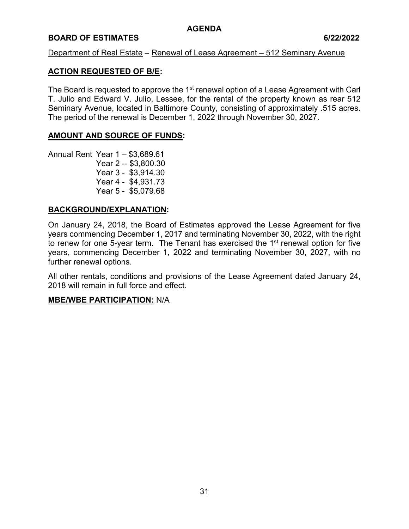# **BOARD OF ESTIMATES 6/22/2022**

#### Department of Real Estate – Renewal of Lease Agreement – 512 Seminary Avenue

# **ACTION REQUESTED OF B/E:**

The Board is requested to approve the 1<sup>st</sup> renewal option of a Lease Agreement with Carl T. Julio and Edward V. Julio, Lessee, for the rental of the property known as rear 512 Seminary Avenue, located in Baltimore County, consisting of approximately .515 acres. The period of the renewal is December 1, 2022 through November 30, 2027.

# **AMOUNT AND SOURCE OF FUNDS:**

Annual Rent Year 1 – \$3,689.61 Year 2 -- \$3,800.30 Year 3 - \$3,914.30 Year 4 - \$4,931.73 Year 5 - \$5,079.68

# **BACKGROUND/EXPLANATION:**

On January 24, 2018, the Board of Estimates approved the Lease Agreement for five years commencing December 1, 2017 and terminating November 30, 2022, with the right to renew for one 5-year term. The Tenant has exercised the  $1<sup>st</sup>$  renewal option for five years, commencing December 1, 2022 and terminating November 30, 2027, with no further renewal options.

All other rentals, conditions and provisions of the Lease Agreement dated January 24, 2018 will remain in full force and effect.

#### **MBE/WBE PARTICIPATION:** N/A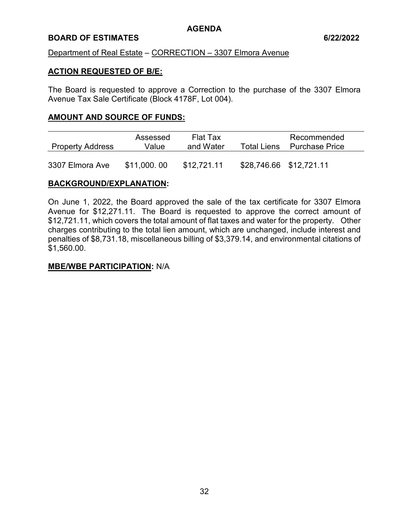# **BOARD OF ESTIMATES 6/22/2022**

#### Department of Real Estate – CORRECTION – 3307 Elmora Avenue

#### **ACTION REQUESTED OF B/E:**

The Board is requested to approve a Correction to the purchase of the 3307 Elmora Avenue Tax Sale Certificate (Block 4178F, Lot 004).

#### **AMOUNT AND SOURCE OF FUNDS:**

| <b>Property Address</b> | Assessed<br>Value | Flat Tax<br>and Water | Total Liens             | Recommended<br><b>Purchase Price</b> |  |
|-------------------------|-------------------|-----------------------|-------------------------|--------------------------------------|--|
| 3307 Elmora Ave         | \$11,000.00       | \$12,721.11           | \$28,746.66 \$12,721.11 |                                      |  |

# **BACKGROUND/EXPLANATION:**

On June 1, 2022, the Board approved the sale of the tax certificate for 3307 Elmora Avenue for \$12,271.11. The Board is requested to approve the correct amount of \$12,721.11, which covers the total amount of flat taxes and water for the property. Other charges contributing to the total lien amount, which are unchanged, include interest and penalties of \$8,731.18, miscellaneous billing of \$3,379.14, and environmental citations of \$1,560.00.

#### **MBE/WBE PARTICIPATION:** N/A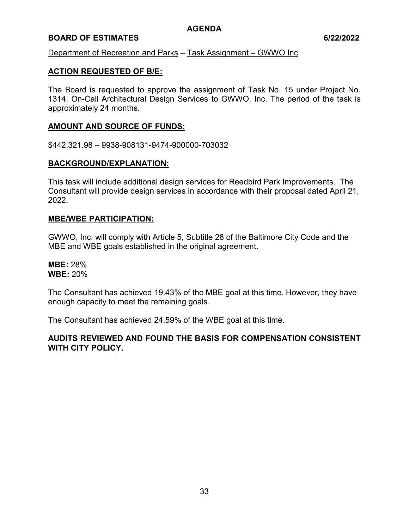# **BOARD OF ESTIMATES 6/22/2022**

Department of Recreation and Parks – Task Assignment – GWWO Inc

# **ACTION REQUESTED OF B/E:**

The Board is requested to approve the assignment of Task No. 15 under Project No. 1314, On-Call Architectural Design Services to GWWO, Inc. The period of the task is approximately 24 months.

# **AMOUNT AND SOURCE OF FUNDS:**

\$442,321.98 – 9938-908131-9474-900000-703032

#### **BACKGROUND/EXPLANATION:**

This task will include additional design services for Reedbird Park Improvements. The Consultant will provide design services in accordance with their proposal dated April 21, 2022.

#### **MBE/WBE PARTICIPATION:**

GWWO, Inc. will comply with Article 5, Subtitle 28 of the Baltimore City Code and the MBE and WBE goals established in the original agreement.

**MBE:** 28% **WBE:** 20%

The Consultant has achieved 19.43% of the MBE goal at this time. However, they have enough capacity to meet the remaining goals.

The Consultant has achieved 24.59% of the WBE goal at this time.

# **AUDITS REVIEWED AND FOUND THE BASIS FOR COMPENSATION CONSISTENT WITH CITY POLICY.**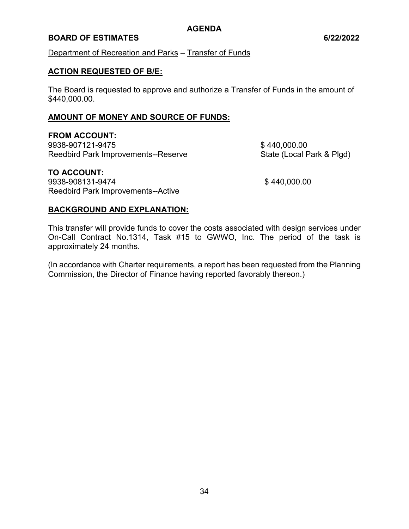# **BOARD OF ESTIMATES 6/22/2022**

Department of Recreation and Parks – Transfer of Funds

#### **ACTION REQUESTED OF B/E:**

The Board is requested to approve and authorize a Transfer of Funds in the amount of \$440,000.00.

### **AMOUNT OF MONEY AND SOURCE OF FUNDS:**

# **FROM ACCOUNT:**

9938-907121-9475 \$ 440,000.00 Reedbird Park Improvements--Reserve State (Local Park & Plgd)

# **TO ACCOUNT:**

9938-908131-9474 \$ 440,000.00 Reedbird Park Improvements--Active

# **BACKGROUND AND EXPLANATION:**

This transfer will provide funds to cover the costs associated with design services under On-Call Contract No.1314, Task #15 to GWWO, Inc. The period of the task is approximately 24 months.

(In accordance with Charter requirements, a report has been requested from the Planning Commission, the Director of Finance having reported favorably thereon.)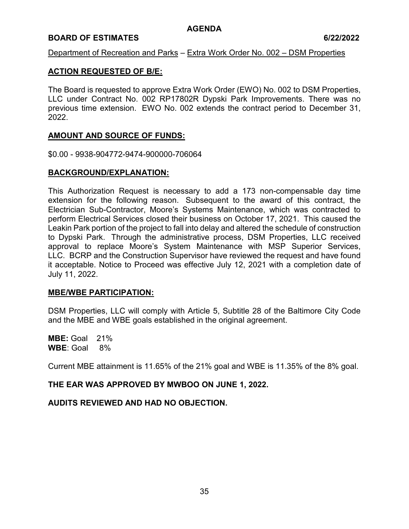### **BOARD OF ESTIMATES 6/22/2022**

Department of Recreation and Parks – Extra Work Order No. 002 – DSM Properties

### **ACTION REQUESTED OF B/E:**

The Board is requested to approve Extra Work Order (EWO) No. 002 to DSM Properties, LLC under Contract No. 002 RP17802R Dypski Park Improvements. There was no previous time extension. EWO No. 002 extends the contract period to December 31, 2022.

### **AMOUNT AND SOURCE OF FUNDS:**

\$0.00 - 9938-904772-9474-900000-706064

### **BACKGROUND/EXPLANATION:**

This Authorization Request is necessary to add a 173 non-compensable day time extension for the following reason. Subsequent to the award of this contract, the Electrician Sub-Contractor, Moore's Systems Maintenance, which was contracted to perform Electrical Services closed their business on October 17, 2021. This caused the Leakin Park portion of the project to fall into delay and altered the schedule of construction to Dypski Park. Through the administrative process, DSM Properties, LLC received approval to replace Moore's System Maintenance with MSP Superior Services, LLC. BCRP and the Construction Supervisor have reviewed the request and have found it acceptable. Notice to Proceed was effective July 12, 2021 with a completion date of July 11, 2022.

#### **MBE/WBE PARTICIPATION:**

DSM Properties, LLC will comply with Article 5, Subtitle 28 of the Baltimore City Code and the MBE and WBE goals established in the original agreement.

**MBE:** Goal 21% **WBE**: Goal 8%

Current MBE attainment is 11.65% of the 21% goal and WBE is 11.35% of the 8% goal.

## **THE EAR WAS APPROVED BY MWBOO ON JUNE 1, 2022.**

#### **AUDITS REVIEWED AND HAD NO OBJECTION.**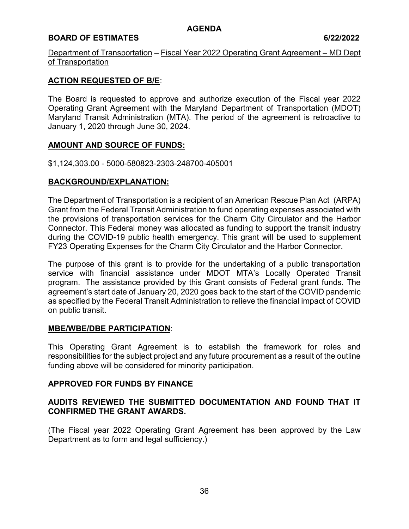## **BOARD OF ESTIMATES** 6/22/2022

Department of Transportation – Fiscal Year 2022 Operating Grant Agreement – MD Dept of Transportation

### **ACTION REQUESTED OF B/E**:

The Board is requested to approve and authorize execution of the Fiscal year 2022 Operating Grant Agreement with the Maryland Department of Transportation (MDOT) Maryland Transit Administration (MTA). The period of the agreement is retroactive to January 1, 2020 through June 30, 2024.

### **AMOUNT AND SOURCE OF FUNDS:**

\$1,124,303.00 - 5000-580823-2303-248700-405001

### **BACKGROUND/EXPLANATION:**

The Department of Transportation is a recipient of an American Rescue Plan Act (ARPA) Grant from the Federal Transit Administration to fund operating expenses associated with the provisions of transportation services for the Charm City Circulator and the Harbor Connector. This Federal money was allocated as funding to support the transit industry during the COVID-19 public health emergency. This grant will be used to supplement FY23 Operating Expenses for the Charm City Circulator and the Harbor Connector.

The purpose of this grant is to provide for the undertaking of a public transportation service with financial assistance under MDOT MTA's Locally Operated Transit program. The assistance provided by this Grant consists of Federal grant funds. The agreement's start date of January 20, 2020 goes back to the start of the COVID pandemic as specified by the Federal Transit Administration to relieve the financial impact of COVID on public transit.

## **MBE/WBE/DBE PARTICIPATION**:

This Operating Grant Agreement is to establish the framework for roles and responsibilities for the subject project and any future procurement as a result of the outline funding above will be considered for minority participation.

## **APPROVED FOR FUNDS BY FINANCE**

## **AUDITS REVIEWED THE SUBMITTED DOCUMENTATION AND FOUND THAT IT CONFIRMED THE GRANT AWARDS.**

(The Fiscal year 2022 Operating Grant Agreement has been approved by the Law Department as to form and legal sufficiency.)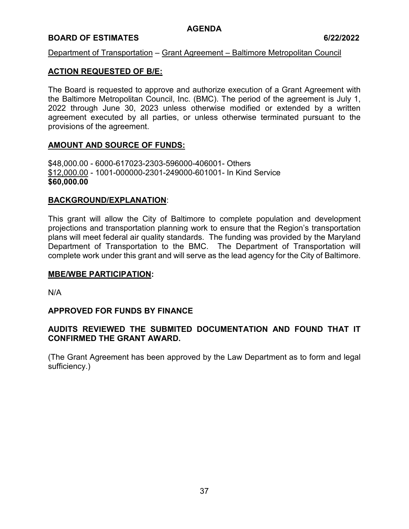### **BOARD OF ESTIMATES 6/22/2022**

### Department of Transportation – Grant Agreement – Baltimore Metropolitan Council

### **ACTION REQUESTED OF B/E:**

The Board is requested to approve and authorize execution of a Grant Agreement with the Baltimore Metropolitan Council, Inc. (BMC). The period of the agreement is July 1, 2022 through June 30, 2023 unless otherwise modified or extended by a written agreement executed by all parties, or unless otherwise terminated pursuant to the provisions of the agreement.

### **AMOUNT AND SOURCE OF FUNDS:**

\$48,000.00 - 6000-617023-2303-596000-406001- Others \$12,000.00 - 1001-000000-2301-249000-601001- In Kind Service **\$60,000.00**

#### **BACKGROUND/EXPLANATION**:

This grant will allow the City of Baltimore to complete population and development projections and transportation planning work to ensure that the Region's transportation plans will meet federal air quality standards. The funding was provided by the Maryland Department of Transportation to the BMC. The Department of Transportation will complete work under this grant and will serve as the lead agency for the City of Baltimore.

#### **MBE/WBE PARTICIPATION:**

N/A

#### **APPROVED FOR FUNDS BY FINANCE**

## **AUDITS REVIEWED THE SUBMITED DOCUMENTATION AND FOUND THAT IT CONFIRMED THE GRANT AWARD.**

(The Grant Agreement has been approved by the Law Department as to form and legal sufficiency.)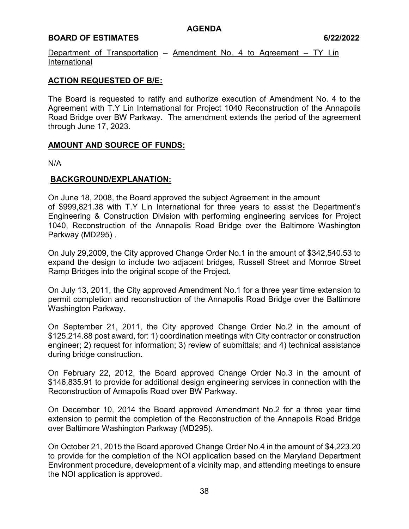## **BOARD OF ESTIMATES 6/22/2022**

Department of Transportation – Amendment No. 4 to Agreement – TY Lin International

## **ACTION REQUESTED OF B/E:**

The Board is requested to ratify and authorize execution of Amendment No. 4 to the Agreement with T.Y Lin International for Project 1040 Reconstruction of the Annapolis Road Bridge over BW Parkway. The amendment extends the period of the agreement through June 17, 2023.

### **AMOUNT AND SOURCE OF FUNDS:**

N/A

### **BACKGROUND/EXPLANATION:**

On June 18, 2008, the Board approved the subject Agreement in the amount of \$999,821.38 with T.Y Lin International for three years to assist the Department's Engineering & Construction Division with performing engineering services for Project 1040, Reconstruction of the Annapolis Road Bridge over the Baltimore Washington Parkway (MD295) .

On July 29,2009, the City approved Change Order No.1 in the amount of \$342,540.53 to expand the design to include two adjacent bridges, Russell Street and Monroe Street Ramp Bridges into the original scope of the Project.

On July 13, 2011, the City approved Amendment No.1 for a three year time extension to permit completion and reconstruction of the Annapolis Road Bridge over the Baltimore Washington Parkway.

On September 21, 2011, the City approved Change Order No.2 in the amount of \$125,214.88 post award, for: 1) coordination meetings with City contractor or construction engineer; 2) request for information; 3) review of submittals; and 4) technical assistance during bridge construction.

On February 22, 2012, the Board approved Change Order No.3 in the amount of \$146,835.91 to provide for additional design engineering services in connection with the Reconstruction of Annapolis Road over BW Parkway.

On December 10, 2014 the Board approved Amendment No.2 for a three year time extension to permit the completion of the Reconstruction of the Annapolis Road Bridge over Baltimore Washington Parkway (MD295).

On October 21, 2015 the Board approved Change Order No.4 in the amount of \$4,223.20 to provide for the completion of the NOI application based on the Maryland Department Environment procedure, development of a vicinity map, and attending meetings to ensure the NOI application is approved.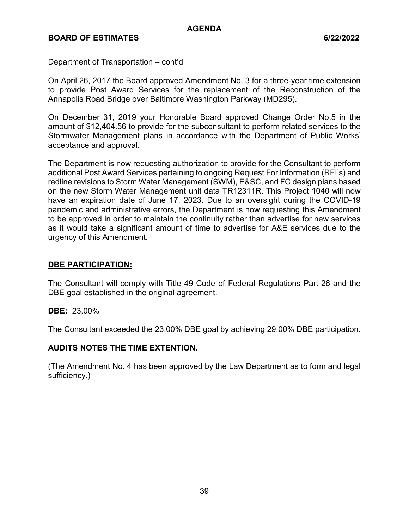### Department of Transportation – cont'd

On April 26, 2017 the Board approved Amendment No. 3 for a three-year time extension to provide Post Award Services for the replacement of the Reconstruction of the Annapolis Road Bridge over Baltimore Washington Parkway (MD295).

On December 31, 2019 your Honorable Board approved Change Order No.5 in the amount of \$12,404.56 to provide for the subconsultant to perform related services to the Stormwater Management plans in accordance with the Department of Public Works' acceptance and approval.

The Department is now requesting authorization to provide for the Consultant to perform additional Post Award Services pertaining to ongoing Request For Information (RFI's) and redline revisions to Storm Water Management (SWM), E&SC, and FC design plans based on the new Storm Water Management unit data TR12311R. This Project 1040 will now have an expiration date of June 17, 2023. Due to an oversight during the COVID-19 pandemic and administrative errors, the Department is now requesting this Amendment to be approved in order to maintain the continuity rather than advertise for new services as it would take a significant amount of time to advertise for A&E services due to the urgency of this Amendment.

### **DBE PARTICIPATION:**

The Consultant will comply with Title 49 Code of Federal Regulations Part 26 and the DBE goal established in the original agreement.

#### **DBE:** 23.00%

The Consultant exceeded the 23.00% DBE goal by achieving 29.00% DBE participation.

#### **AUDITS NOTES THE TIME EXTENTION.**

(The Amendment No. 4 has been approved by the Law Department as to form and legal sufficiency.)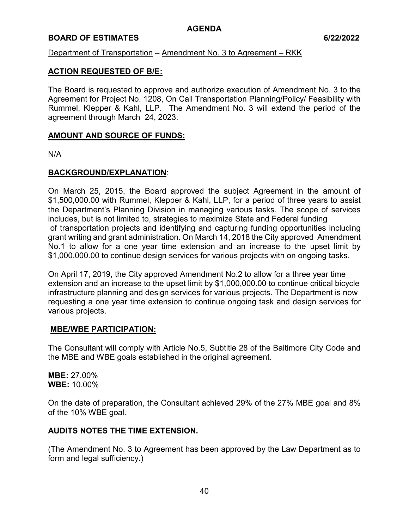### **BOARD OF ESTIMATES 6/22/2022**

### Department of Transportation – Amendment No. 3 to Agreement – RKK

### **ACTION REQUESTED OF B/E:**

The Board is requested to approve and authorize execution of Amendment No. 3 to the Agreement for Project No. 1208, On Call Transportation Planning/Policy/ Feasibility with Rummel, Klepper & Kahl, LLP. The Amendment No. 3 will extend the period of the agreement through March 24, 2023.

#### **AMOUNT AND SOURCE OF FUNDS:**

N/A

### **BACKGROUND/EXPLANATION**:

On March 25, 2015, the Board approved the subject Agreement in the amount of \$1,500,000.00 with Rummel, Klepper & Kahl, LLP, for a period of three years to assist the Department's Planning Division in managing various tasks. The scope of services includes, but is not limited to, strategies to maximize State and Federal funding of transportation projects and identifying and capturing funding opportunities including grant writing and grant administration. On March 14, 2018 the City approved Amendment No.1 to allow for a one year time extension and an increase to the upset limit by \$1,000,000.00 to continue design services for various projects with on ongoing tasks.

On April 17, 2019, the City approved Amendment No.2 to allow for a three year time extension and an increase to the upset limit by \$1,000,000.00 to continue critical bicycle infrastructure planning and design services for various projects. The Department is now requesting a one year time extension to continue ongoing task and design services for various projects.

#### **MBE/WBE PARTICIPATION:**

The Consultant will comply with Article No.5, Subtitle 28 of the Baltimore City Code and the MBE and WBE goals established in the original agreement.

**MBE:** 27.00% **WBE:** 10.00%

On the date of preparation, the Consultant achieved 29% of the 27% MBE goal and 8% of the 10% WBE goal.

#### **AUDITS NOTES THE TIME EXTENSION.**

(The Amendment No. 3 to Agreement has been approved by the Law Department as to form and legal sufficiency.)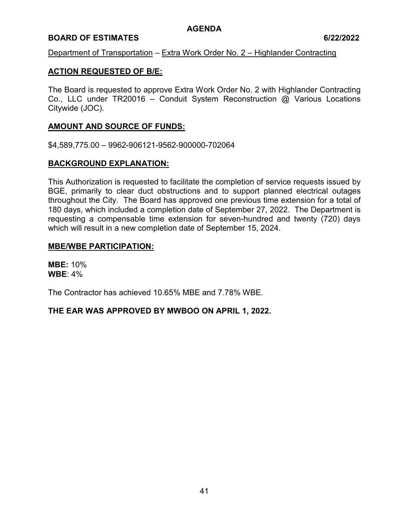### **BOARD OF ESTIMATES 6/22/2022**

### Department of Transportation – Extra Work Order No. 2 – Highlander Contracting

### **ACTION REQUESTED OF B/E:**

The Board is requested to approve Extra Work Order No. 2 with Highlander Contracting Co., LLC under TR20016 – Conduit System Reconstruction @ Various Locations Citywide (JOC).

### **AMOUNT AND SOURCE OF FUNDS:**

\$4,589,775.00 – 9962-906121-9562-900000-702064

#### **BACKGROUND EXPLANATION:**

This Authorization is requested to facilitate the completion of service requests issued by BGE, primarily to clear duct obstructions and to support planned electrical outages throughout the City. The Board has approved one previous time extension for a total of 180 days, which included a completion date of September 27, 2022. The Department is requesting a compensable time extension for seven-hundred and twenty (720) days which will result in a new completion date of September 15, 2024.

#### **MBE/WBE PARTICIPATION:**

**MBE:** 10% **WBE**: 4%

The Contractor has achieved 10.65% MBE and 7.78% WBE.

#### **THE EAR WAS APPROVED BY MWBOO ON APRIL 1, 2022.**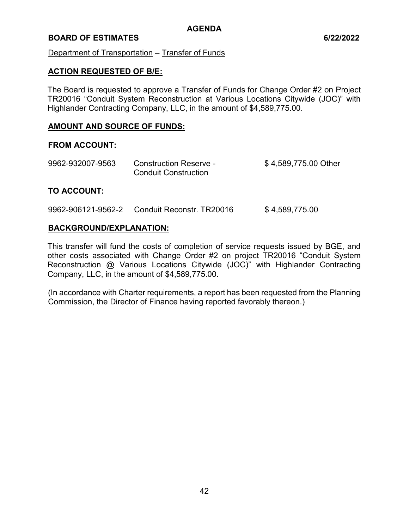### **BOARD OF ESTIMATES 6/22/2022**

### Department of Transportation – Transfer of Funds

### **ACTION REQUESTED OF B/E:**

The Board is requested to approve a Transfer of Funds for Change Order #2 on Project TR20016 "Conduit System Reconstruction at Various Locations Citywide (JOC)" with Highlander Contracting Company, LLC, in the amount of \$4,589,775.00.

#### **AMOUNT AND SOURCE OF FUNDS:**

#### **FROM ACCOUNT:**

| 9962-932007-9563 | <b>Construction Reserve -</b> | \$4,589,775.00 Other |
|------------------|-------------------------------|----------------------|
|                  | <b>Conduit Construction</b>   |                      |
|                  |                               |                      |

## **TO ACCOUNT:**

9962-906121-9562-2 Conduit Reconstr. TR20016 \$4,589,775.00

### **BACKGROUND/EXPLANATION:**

This transfer will fund the costs of completion of service requests issued by BGE, and other costs associated with Change Order #2 on project TR20016 "Conduit System Reconstruction @ Various Locations Citywide (JOC)" with Highlander Contracting Company, LLC, in the amount of \$4,589,775.00.

(In accordance with Charter requirements, a report has been requested from the Planning Commission, the Director of Finance having reported favorably thereon.)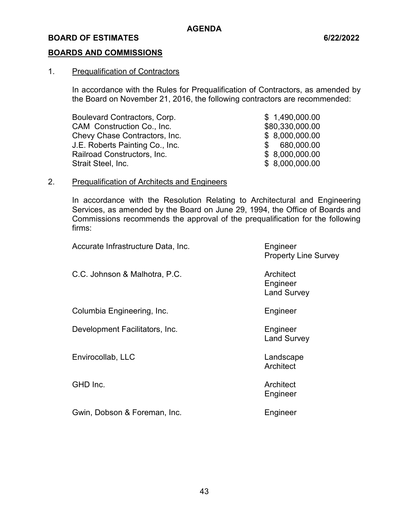### **BOARDS AND COMMISSIONS**

#### 1. Prequalification of Contractors

In accordance with the Rules for Prequalification of Contractors, as amended by the Board on November 21, 2016, the following contractors are recommended:

Boulevard Contractors, Corp.  $$ 1,490,000.00$ CAM Construction Co., Inc. 680,330,000.00 Chevy Chase Contractors, Inc.  $$8,000,000.00$ J.E. Roberts Painting Co., Inc. \$ 680,000.00 Railroad Constructors, Inc. 6 and 10 and 10 and 10 and 10 and 10 and 10 and 10 and 10 and 10 and 10 and 10 and 1 Strait Steel, Inc. \$ 8,000,000.00

#### 2. Prequalification of Architects and Engineers

In accordance with the Resolution Relating to Architectural and Engineering Services, as amended by the Board on June 29, 1994, the Office of Boards and Commissions recommends the approval of the prequalification for the following firms:

Accurate Infrastructure Data, Inc. **Engineer**  Property Line Survey C.C. Johnson & Malhotra, P.C. **Architect** Architect **Engineer**  Land Survey Columbia Engineering, Inc. The Columbia Engineer Development Facilitators, Inc. The Contract of The Engineer Land Survey Envirocollab, LLC and a controllab controllab and a controllab controllab controllab controllab controllaboration controllaboration controllaboration controllaboration controllaboration controllaboration controllaboration **Architect** GHD Inc. **Architect**  Engineer Gwin, Dobson & Foreman, Inc. **Engineer** 

43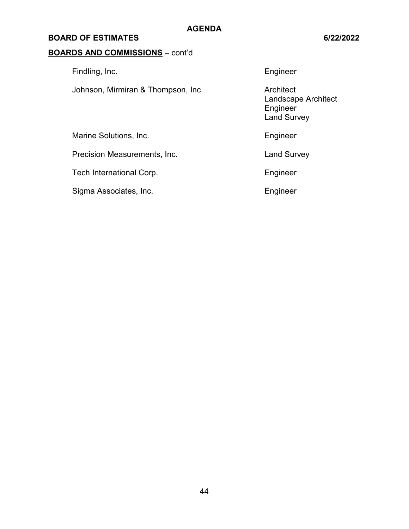### **BOARD OF ESTIMATES 6/22/2022**

# **BOARDS AND COMMISSIONS** – cont'd

Findling, Inc. **Engineer** Johnson, Mirmiran & Thompson, Inc. **Architect** Marine Solutions, Inc. **Engineer** Engineer Precision Measurements, Inc. The Contract of Land Survey

Tech International Corp. The Contract of the Engineer

Sigma Associates, Inc. **Engineer** Engineer

 Landscape Architect Engineer Land Survey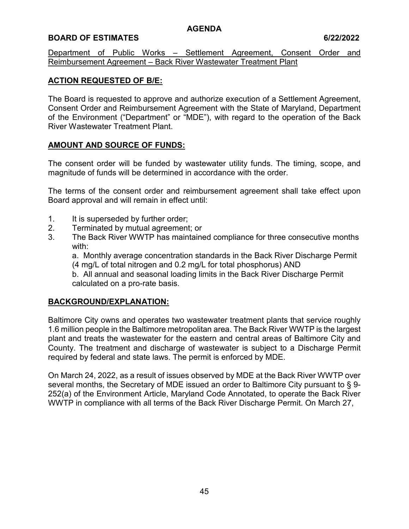## **BOARD OF ESTIMATES 6/22/2022**

Department of Public Works – Settlement Agreement, Consent Order and Reimbursement Agreement – Back River Wastewater Treatment Plant

## **ACTION REQUESTED OF B/E:**

The Board is requested to approve and authorize execution of a Settlement Agreement, Consent Order and Reimbursement Agreement with the State of Maryland, Department of the Environment ("Department" or "MDE"), with regard to the operation of the Back River Wastewater Treatment Plant.

## **AMOUNT AND SOURCE OF FUNDS:**

The consent order will be funded by wastewater utility funds. The timing, scope, and magnitude of funds will be determined in accordance with the order.

The terms of the consent order and reimbursement agreement shall take effect upon Board approval and will remain in effect until:

- 1. It is superseded by further order;
- 2. Terminated by mutual agreement; or
- 3. The Back River WWTP has maintained compliance for three consecutive months with:

a. Monthly average concentration standards in the Back River Discharge Permit (4 mg/L of total nitrogen and 0.2 mg/L for total phosphorus) AND

b. All annual and seasonal loading limits in the Back River Discharge Permit calculated on a pro-rate basis.

# **BACKGROUND/EXPLANATION:**

Baltimore City owns and operates two wastewater treatment plants that service roughly 1.6 million people in the Baltimore metropolitan area. The Back River WWTP is the largest plant and treats the wastewater for the eastern and central areas of Baltimore City and County. The treatment and discharge of wastewater is subject to a Discharge Permit required by federal and state laws. The permit is enforced by MDE.

On March 24, 2022, as a result of issues observed by MDE at the Back River WWTP over several months, the Secretary of MDE issued an order to Baltimore City pursuant to § 9- 252(a) of the Environment Article, Maryland Code Annotated, to operate the Back River WWTP in compliance with all terms of the Back River Discharge Permit. On March 27,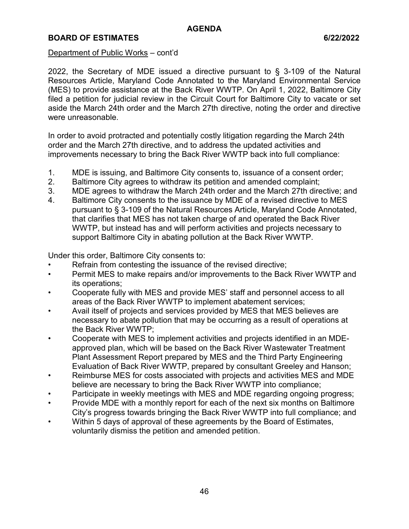## **BOARD OF ESTIMATES 6/22/2022**

#### Department of Public Works – cont'd

2022, the Secretary of MDE issued a directive pursuant to § 3-109 of the Natural Resources Article, Maryland Code Annotated to the Maryland Environmental Service (MES) to provide assistance at the Back River WWTP. On April 1, 2022, Baltimore City filed a petition for judicial review in the Circuit Court for Baltimore City to vacate or set aside the March 24th order and the March 27th directive, noting the order and directive were unreasonable.

In order to avoid protracted and potentially costly litigation regarding the March 24th order and the March 27th directive, and to address the updated activities and improvements necessary to bring the Back River WWTP back into full compliance:

- 1. MDE is issuing, and Baltimore City consents to, issuance of a consent order;
- 2. Baltimore City agrees to withdraw its petition and amended complaint;
- 3. MDE agrees to withdraw the March 24th order and the March 27th directive; and
- 4. Baltimore City consents to the issuance by MDE of a revised directive to MES pursuant to § 3-109 of the Natural Resources Article, Maryland Code Annotated, that clarifies that MES has not taken charge of and operated the Back River WWTP, but instead has and will perform activities and projects necessary to support Baltimore City in abating pollution at the Back River WWTP.

Under this order, Baltimore City consents to:

- Refrain from contesting the issuance of the revised directive;
- Permit MES to make repairs and/or improvements to the Back River WWTP and its operations;
- Cooperate fully with MES and provide MES' staff and personnel access to all areas of the Back River WWTP to implement abatement services;
- Avail itself of projects and services provided by MES that MES believes are necessary to abate pollution that may be occurring as a result of operations at the Back River WWTP;
- Cooperate with MES to implement activities and projects identified in an MDEapproved plan, which will be based on the Back River Wastewater Treatment Plant Assessment Report prepared by MES and the Third Party Engineering Evaluation of Back River WWTP, prepared by consultant Greeley and Hanson;
- Reimburse MES for costs associated with projects and activities MES and MDE believe are necessary to bring the Back River WWTP into compliance;
- Participate in weekly meetings with MES and MDE regarding ongoing progress;
- Provide MDE with a monthly report for each of the next six months on Baltimore City's progress towards bringing the Back River WWTP into full compliance; and
- Within 5 days of approval of these agreements by the Board of Estimates, voluntarily dismiss the petition and amended petition.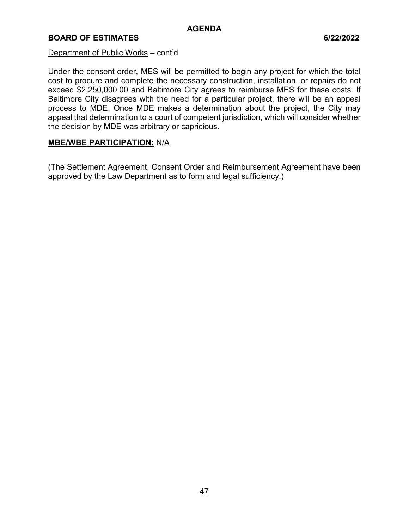## **BOARD OF ESTIMATES 6/22/2022**

#### Department of Public Works – cont'd

Under the consent order, MES will be permitted to begin any project for which the total cost to procure and complete the necessary construction, installation, or repairs do not exceed \$2,250,000.00 and Baltimore City agrees to reimburse MES for these costs. If Baltimore City disagrees with the need for a particular project, there will be an appeal process to MDE. Once MDE makes a determination about the project, the City may appeal that determination to a court of competent jurisdiction, which will consider whether the decision by MDE was arbitrary or capricious.

# **MBE/WBE PARTICIPATION:** N/A

(The Settlement Agreement, Consent Order and Reimbursement Agreement have been approved by the Law Department as to form and legal sufficiency.)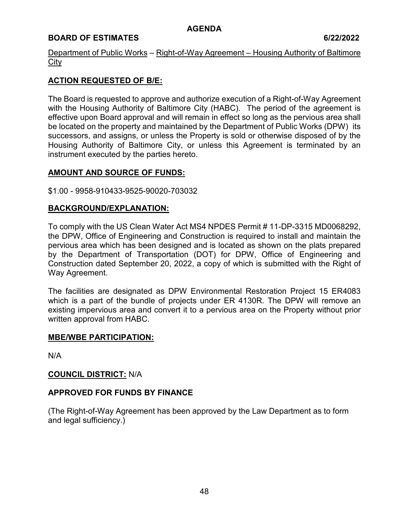## **BOARD OF ESTIMATES 6/22/2022**

Department of Public Works – Right-of-Way Agreement – Housing Authority of Baltimore **City** 

## **ACTION REQUESTED OF B/E:**

The Board is requested to approve and authorize execution of a Right-of-Way Agreement with the Housing Authority of Baltimore City (HABC). The period of the agreement is effective upon Board approval and will remain in effect so long as the pervious area shall be located on the property and maintained by the Department of Public Works (DPW) its successors, and assigns, or unless the Property is sold or otherwise disposed of by the Housing Authority of Baltimore City, or unless this Agreement is terminated by an instrument executed by the parties hereto.

## **AMOUNT AND SOURCE OF FUNDS:**

### \$1.00 - 9958-910433-9525-90020-703032

## **BACKGROUND/EXPLANATION:**

To comply with the US Clean Water Act MS4 NPDES Permit # 11-DP-3315 MD0068292, the DPW, Office of Engineering and Construction is required to install and maintain the pervious area which has been designed and is located as shown on the plats prepared by the Department of Transportation (DOT) for DPW, Office of Engineering and Construction dated September 20, 2022, a copy of which is submitted with the Right of Way Agreement.

The facilities are designated as DPW Environmental Restoration Project 15 ER4083 which is a part of the bundle of projects under ER 4130R. The DPW will remove an existing impervious area and convert it to a pervious area on the Property without prior written approval from HABC.

## **MBE/WBE PARTICIPATION:**

N/A

## **COUNCIL DISTRICT:** N/A

## **APPROVED FOR FUNDS BY FINANCE**

(The Right-of-Way Agreement has been approved by the Law Department as to form and legal sufficiency.)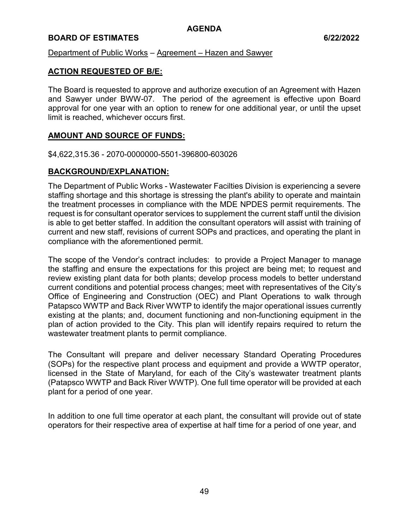## **BOARD OF ESTIMATES 6/22/2022**

Department of Public Works – Agreement – Hazen and Sawyer

### **ACTION REQUESTED OF B/E:**

The Board is requested to approve and authorize execution of an Agreement with Hazen and Sawyer under BWW-07. The period of the agreement is effective upon Board approval for one year with an option to renew for one additional year, or until the upset limit is reached, whichever occurs first.

### **AMOUNT AND SOURCE OF FUNDS:**

\$4,622,315.36 - 2070-0000000-5501-396800-603026

### **BACKGROUND/EXPLANATION:**

The Department of Public Works - Wastewater Facilties Division is experiencing a severe staffing shortage and this shortage is stressing the plant's ability to operate and maintain the treatment processes in compliance with the MDE NPDES permit requirements. The request is for consultant operator services to supplement the current staff until the division is able to get better staffed. In addition the consultant operators will assist with training of current and new staff, revisions of current SOPs and practices, and operating the plant in compliance with the aforementioned permit.

The scope of the Vendor's contract includes: to provide a Project Manager to manage the staffing and ensure the expectations for this project are being met; to request and review existing plant data for both plants; develop process models to better understand current conditions and potential process changes; meet with representatives of the City's Office of Engineering and Construction (OEC) and Plant Operations to walk through Patapsco WWTP and Back River WWTP to identify the major operational issues currently existing at the plants; and, document functioning and non-functioning equipment in the plan of action provided to the City. This plan will identify repairs required to return the wastewater treatment plants to permit compliance.

The Consultant will prepare and deliver necessary Standard Operating Procedures (SOPs) for the respective plant process and equipment and provide a WWTP operator, licensed in the State of Maryland, for each of the City's wastewater treatment plants (Patapsco WWTP and Back River WWTP). One full time operator will be provided at each plant for a period of one year.

In addition to one full time operator at each plant, the consultant will provide out of state operators for their respective area of expertise at half time for a period of one year, and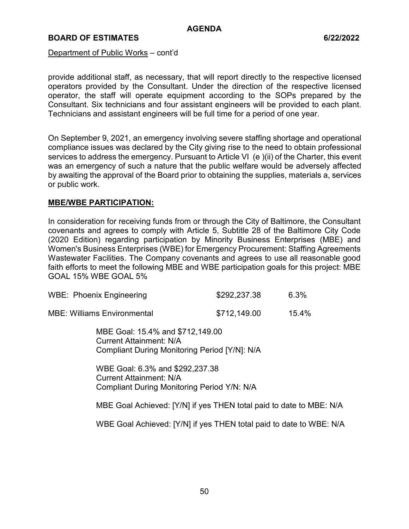### **BOARD OF ESTIMATES 6/22/2022**

Department of Public Works – cont'd

provide additional staff, as necessary, that will report directly to the respective licensed operators provided by the Consultant. Under the direction of the respective licensed operator, the staff will operate equipment according to the SOPs prepared by the Consultant. Six technicians and four assistant engineers will be provided to each plant. Technicians and assistant engineers will be full time for a period of one year.

On September 9, 2021, an emergency involving severe staffing shortage and operational compliance issues was declared by the City giving rise to the need to obtain professional services to address the emergency. Pursuant to Article VI (e)(ii) of the Charter, this event was an emergency of such a nature that the public welfare would be adversely affected by awaiting the approval of the Board prior to obtaining the supplies, materials a, services or public work.

#### **MBE/WBE PARTICIPATION:**

In consideration for receiving funds from or through the City of Baltimore, the Consultant covenants and agrees to comply with Article 5, Subtitle 28 of the Baltimore City Code (2020 Edition) regarding participation by Minority Business Enterprises (MBE) and Women's Business Enterprises (WBE) for Emergency Procurement: Staffing Agreements Wastewater Facilities. The Company covenants and agrees to use all reasonable good faith efforts to meet the following MBE and WBE participation goals for this project: MBE GOAL 15% WBE GOAL 5%

| WBE: Phoenix Engineering           | \$292,237.38 | 6.3%  |
|------------------------------------|--------------|-------|
| <b>MBE: Williams Environmental</b> | \$712,149.00 | 15.4% |

MBE Goal: 15.4% and \$712,149.00 Current Attainment: N/A Compliant During Monitoring Period [Y/N]: N/A

WBE Goal: 6.3% and \$292,237.38 Current Attainment: N/A Compliant During Monitoring Period Y/N: N/A

MBE Goal Achieved: [Y/N] if yes THEN total paid to date to MBE: N/A

WBE Goal Achieved: [Y/N] if yes THEN total paid to date to WBE: N/A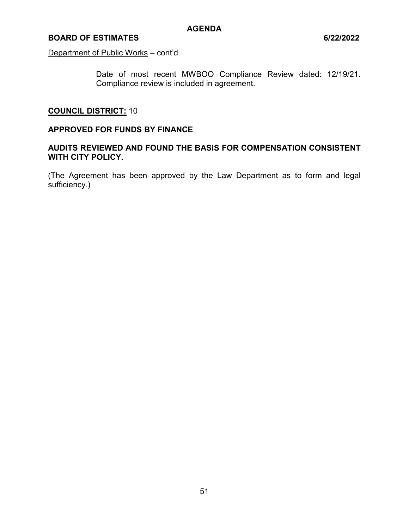### **BOARD OF ESTIMATES 6/22/2022**

Department of Public Works – cont'd

Date of most recent MWBOO Compliance Review dated: 12/19/21. Compliance review is included in agreement.

# **COUNCIL DISTRICT:** 10

#### **APPROVED FOR FUNDS BY FINANCE**

## **AUDITS REVIEWED AND FOUND THE BASIS FOR COMPENSATION CONSISTENT WITH CITY POLICY.**

(The Agreement has been approved by the Law Department as to form and legal sufficiency.)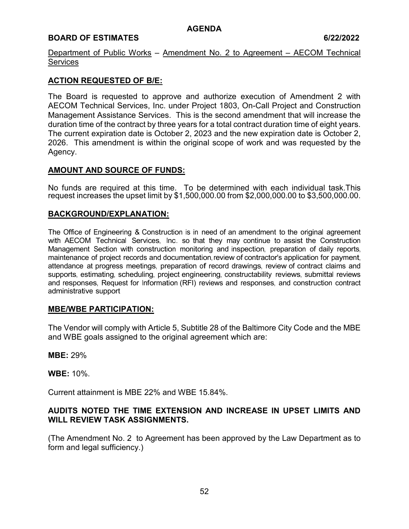## **BOARD OF ESTIMATES** 6/22/2022

Department of Public Works – Amendment No. 2 to Agreement – AECOM Technical **Services** 

## **ACTION REQUESTED OF B/E:**

The Board is requested to approve and authorize execution of Amendment 2 with AECOM Technical Services, Inc. under Project 1803, On-Call Project and Construction Management Assistance Services. This is the second amendment that will increase the duration time of the contract by three years for a total contract duration time of eight years. The current expiration date is October 2, 2023 and the new expiration date is October 2, 2026. This amendment is within the original scope of work and was requested by the Agency.

## **AMOUNT AND SOURCE OF FUNDS:**

No funds are required at this time. To be determined with each individual task.This request increases the upset limit by \$1,500,000.00 from \$2,000,000.00 to \$3,500,000.00.

## **BACKGROUND/EXPLANATION:**

The Office of Engineering & Construction is in need of an amendment to the original agreement with AECOM Technical Services, Inc. so that they may continue to assist the Construction Management Section with construction monitoring and inspection, preparation of daily reports, maintenance of project records and documentation, review of contractor's application for payment, attendance at progress meetings, preparation of record drawings, review of contract claims and supports, estimating, scheduling, project engineering, constructability reviews, submittal reviews and responses, Request for Information (RFI) reviews and responses, and construction contract administrative support

#### **MBE/WBE PARTICIPATION:**

The Vendor will comply with Article 5, Subtitle 28 of the Baltimore City Code and the MBE and WBE goals assigned to the original agreement which are:

**MBE:** 29%

**WBE:** 10%.

Current attainment is MBE 22% and WBE 15.84%.

## **AUDITS NOTED THE TIME EXTENSION AND INCREASE IN UPSET LIMITS AND WILL REVIEW TASK ASSIGNMENTS.**

(The Amendment No. 2 to Agreement has been approved by the Law Department as to form and legal sufficiency.)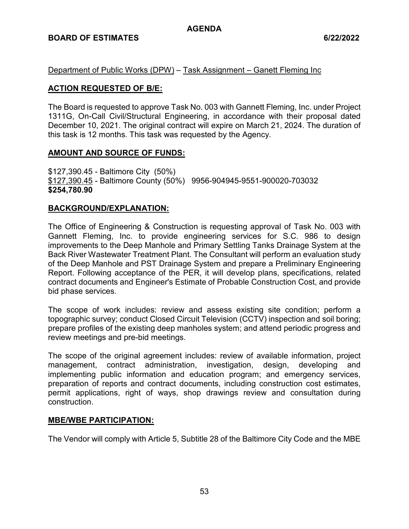## **BOARD OF ESTIMATES 6/22/2022**

Department of Public Works (DPW) – Task Assignment – Ganett Fleming Inc

### **ACTION REQUESTED OF B/E:**

The Board is requested to approve Task No. 003 with Gannett Fleming, Inc. under Project 1311G, On-Call Civil/Structural Engineering, in accordance with their proposal dated December 10, 2021. The original contract will expire on March 21, 2024. The duration of this task is 12 months. This task was requested by the Agency.

### **AMOUNT AND SOURCE OF FUNDS:**

\$127,390.45 - Baltimore City (50%) \$127,390.45 - Baltimore County (50%) 9956-904945-9551-900020-703032 **\$254,780.90** 

### **BACKGROUND/EXPLANATION:**

The Office of Engineering & Construction is requesting approval of Task No. 003 with Gannett Fleming, Inc. to provide engineering services for S.C. 986 to design improvements to the Deep Manhole and Primary Settling Tanks Drainage System at the Back River Wastewater Treatment Plant. The Consultant will perform an evaluation study of the Deep Manhole and PST Drainage System and prepare a Preliminary Engineering Report. Following acceptance of the PER, it will develop plans, specifications, related contract documents and Engineer's Estimate of Probable Construction Cost, and provide bid phase services.

The scope of work includes: review and assess existing site condition; perform a topographic survey; conduct Closed Circuit Television (CCTV) inspection and soil boring; prepare profiles of the existing deep manholes system; and attend periodic progress and review meetings and pre-bid meetings.

The scope of the original agreement includes: review of available information, project management, contract administration, investigation, design, developing and implementing public information and education program; and emergency services, preparation of reports and contract documents, including construction cost estimates, permit applications, right of ways, shop drawings review and consultation during construction.

#### **MBE/WBE PARTICIPATION:**

The Vendor will comply with Article 5, Subtitle 28 of the Baltimore City Code and the MBE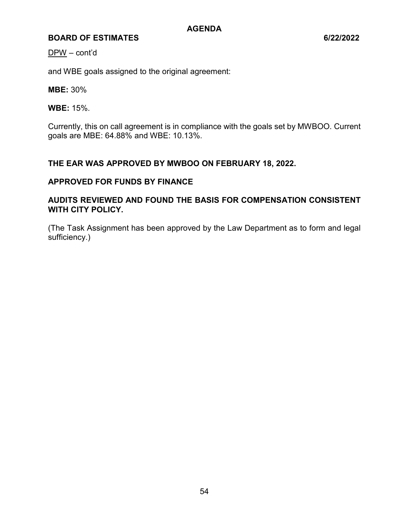DPW – cont'd

and WBE goals assigned to the original agreement:

**MBE:** 30%

**WBE:** 15%.

Currently, this on call agreement is in compliance with the goals set by MWBOO. Current goals are MBE: 64.88% and WBE: 10.13%.

# **THE EAR WAS APPROVED BY MWBOO ON FEBRUARY 18, 2022.**

### **APPROVED FOR FUNDS BY FINANCE**

# **AUDITS REVIEWED AND FOUND THE BASIS FOR COMPENSATION CONSISTENT WITH CITY POLICY.**

(The Task Assignment has been approved by the Law Department as to form and legal sufficiency.)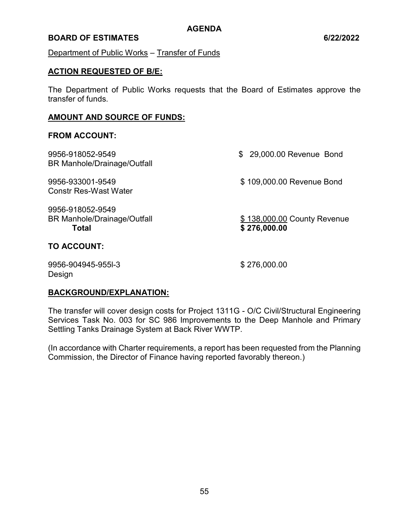### **BOARD OF ESTIMATES 6/22/2022**

Department of Public Works – Transfer of Funds

#### **ACTION REQUESTED OF B/E:**

The Department of Public Works requests that the Board of Estimates approve the transfer of funds.

#### **AMOUNT AND SOURCE OF FUNDS:**

#### **FROM ACCOUNT:**

| 9956-918052-9549<br><b>BR Manhole/Drainage/Outfall</b>                 | \$ 29,000.00 Revenue Bond                   |
|------------------------------------------------------------------------|---------------------------------------------|
| 9956-933001-9549<br><b>Constr Res-Wast Water</b>                       | \$109,000.00 Revenue Bond                   |
| 9956-918052-9549<br><b>BR Manhole/Drainage/Outfall</b><br><b>Total</b> | \$138,000.00 County Revenue<br>\$276,000.00 |
| <b>TO ACCOUNT:</b>                                                     |                                             |

9956-904945-955l-3 \$ 276,000.00 Design

#### **BACKGROUND/EXPLANATION:**

The transfer will cover design costs for Project 1311G - O/C Civil/Structural Engineering Services Task No. 003 for SC 986 Improvements to the Deep Manhole and Primary Settling Tanks Drainage System at Back River WWTP.

(In accordance with Charter requirements, a report has been requested from the Planning Commission, the Director of Finance having reported favorably thereon.)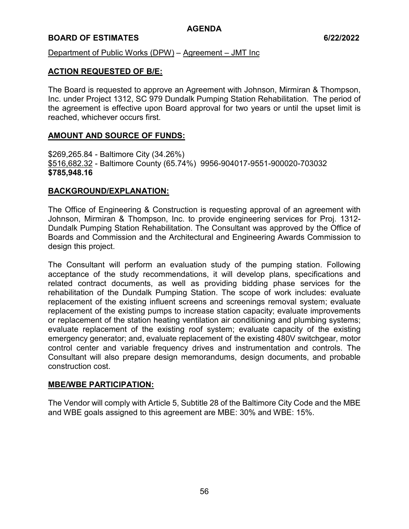## **BOARD OF ESTIMATES 6/22/2022**

Department of Public Works (DPW) – Agreement – JMT Inc

### **ACTION REQUESTED OF B/E:**

The Board is requested to approve an Agreement with Johnson, Mirmiran & Thompson, Inc. under Project 1312, SC 979 Dundalk Pumping Station Rehabilitation. The period of the agreement is effective upon Board approval for two years or until the upset limit is reached, whichever occurs first.

### **AMOUNT AND SOURCE OF FUNDS:**

\$269,265.84 - Baltimore City (34.26%) \$516,682.32 - Baltimore County (65.74%) 9956-904017-9551-900020-703032 **\$785,948.16** 

### **BACKGROUND/EXPLANATION:**

The Office of Engineering & Construction is requesting approval of an agreement with Johnson, Mirmiran & Thompson, Inc. to provide engineering services for Proj. 1312- Dundalk Pumping Station Rehabilitation. The Consultant was approved by the Office of Boards and Commission and the Architectural and Engineering Awards Commission to design this project.

The Consultant will perform an evaluation study of the pumping station. Following acceptance of the study recommendations, it will develop plans, specifications and related contract documents, as well as providing bidding phase services for the rehabilitation of the Dundalk Pumping Station. The scope of work includes: evaluate replacement of the existing influent screens and screenings removal system; evaluate replacement of the existing pumps to increase station capacity; evaluate improvements or replacement of the station heating ventilation air conditioning and plumbing systems; evaluate replacement of the existing roof system; evaluate capacity of the existing emergency generator; and, evaluate replacement of the existing 480V switchgear, motor control center and variable frequency drives and instrumentation and controls. The Consultant will also prepare design memorandums, design documents, and probable construction cost.

#### **MBE/WBE PARTICIPATION:**

The Vendor will comply with Article 5, Subtitle 28 of the Baltimore City Code and the MBE and WBE goals assigned to this agreement are MBE: 30% and WBE: 15%.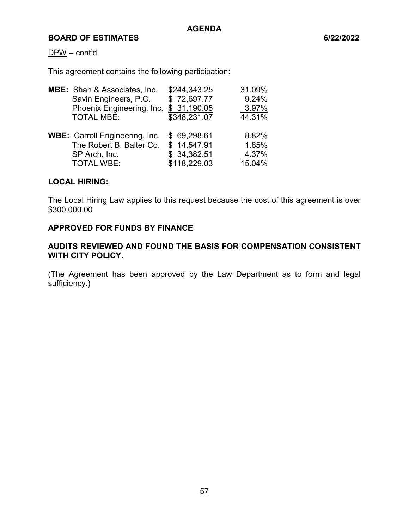#### DPW – cont'd

This agreement contains the following participation:

| <b>MBE:</b> Shah & Associates, Inc.   | \$244,343.25             | 31.09%                    |
|---------------------------------------|--------------------------|---------------------------|
| Savin Engineers, P.C.                 | \$72,697.77              | 9.24%                     |
|                                       | \$31,190.05              | 3.97%                     |
| <b>TOTAL MBE:</b>                     | \$348,231.07             | 44.31%                    |
|                                       |                          |                           |
| <b>WBE: Carroll Engineering, Inc.</b> | \$69,298.61              | 8.82%                     |
|                                       | \$14,547.91              | 1.85%                     |
| SP Arch, Inc.                         | \$34,382.51              | 4.37%                     |
| <b>TOTAL WBE:</b>                     | \$118,229.03             | 15.04%                    |
|                                       | The Robert B. Balter Co. | Phoenix Engineering, Inc. |

#### **LOCAL HIRING:**

The Local Hiring Law applies to this request because the cost of this agreement is over \$300,000.00

### **APPROVED FOR FUNDS BY FINANCE**

## **AUDITS REVIEWED AND FOUND THE BASIS FOR COMPENSATION CONSISTENT WITH CITY POLICY.**

(The Agreement has been approved by the Law Department as to form and legal sufficiency.)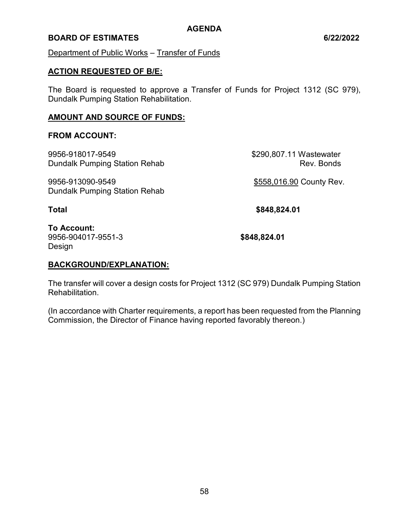### **BOARD OF ESTIMATES 6/22/2022**

Department of Public Works – Transfer of Funds

### **ACTION REQUESTED OF B/E:**

The Board is requested to approve a Transfer of Funds for Project 1312 (SC 979), Dundalk Pumping Station Rehabilitation.

### **AMOUNT AND SOURCE OF FUNDS:**

### **FROM ACCOUNT:**

9956-918017-9549 \$290,807.11 Wastewater Dundalk Pumping Station Rehab Rev. Bonds 9956-913090-9549 \$558,016.90 County Rev. Dundalk Pumping Station Rehab **Total \$848,824.01**

**To Account:**  9956-904017-9551-3 **\$848,824.01**  Design

## **BACKGROUND/EXPLANATION:**

The transfer will cover a design costs for Project 1312 (SC 979) Dundalk Pumping Station **Rehabilitation** 

(In accordance with Charter requirements, a report has been requested from the Planning Commission, the Director of Finance having reported favorably thereon.)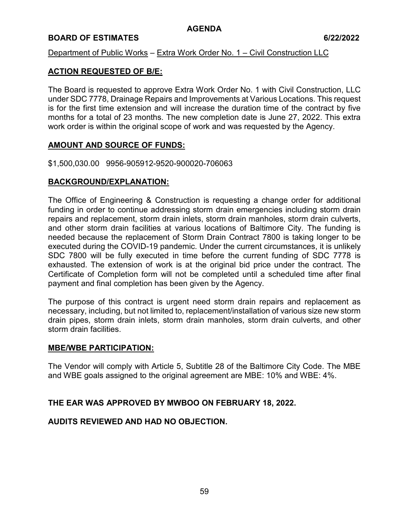## **BOARD OF ESTIMATES 6/22/2022**

### Department of Public Works – Extra Work Order No. 1 – Civil Construction LLC

## **ACTION REQUESTED OF B/E:**

The Board is requested to approve Extra Work Order No. 1 with Civil Construction, LLC under SDC 7778, Drainage Repairs and Improvements at Various Locations. This request is for the first time extension and will increase the duration time of the contract by five months for a total of 23 months. The new completion date is June 27, 2022. This extra work order is within the original scope of work and was requested by the Agency.

### **AMOUNT AND SOURCE OF FUNDS:**

\$1,500,030.00 9956-905912-9520-900020-706063

## **BACKGROUND/EXPLANATION:**

The Office of Engineering & Construction is requesting a change order for additional funding in order to continue addressing storm drain emergencies including storm drain repairs and replacement, storm drain inlets, storm drain manholes, storm drain culverts, and other storm drain facilities at various locations of Baltimore City. The funding is needed because the replacement of Storm Drain Contract 7800 is taking longer to be executed during the COVID-19 pandemic. Under the current circumstances, it is unlikely SDC 7800 will be fully executed in time before the current funding of SDC 7778 is exhausted. The extension of work is at the original bid price under the contract. The Certificate of Completion form will not be completed until a scheduled time after final payment and final completion has been given by the Agency.

The purpose of this contract is urgent need storm drain repairs and replacement as necessary, including, but not limited to, replacement/installation of various size new storm drain pipes, storm drain inlets, storm drain manholes, storm drain culverts, and other storm drain facilities.

#### **MBE/WBE PARTICIPATION:**

The Vendor will comply with Article 5, Subtitle 28 of the Baltimore City Code. The MBE and WBE goals assigned to the original agreement are MBE: 10% and WBE: 4%.

## **THE EAR WAS APPROVED BY MWBOO ON FEBRUARY 18, 2022.**

## **AUDITS REVIEWED AND HAD NO OBJECTION.**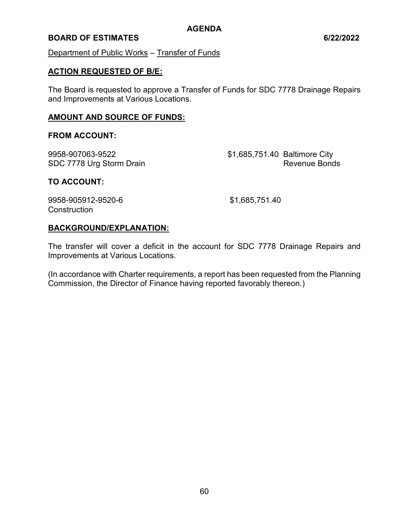### **BOARD OF ESTIMATES 6/22/2022**

Department of Public Works – Transfer of Funds

#### **ACTION REQUESTED OF B/E:**

The Board is requested to approve a Transfer of Funds for SDC 7778 Drainage Repairs and Improvements at Various Locations.

#### **AMOUNT AND SOURCE OF FUNDS:**

#### **FROM ACCOUNT:**

9958-907063-9522 \$1,685,751.40 Baltimore City SDC 7778 Urg Storm Drain Revenue Bonds

#### **TO ACCOUNT:**

9958-905912-9520-6 \$1,685,751.40 **Construction** 

#### **BACKGROUND/EXPLANATION:**

The transfer will cover a deficit in the account for SDC 7778 Drainage Repairs and Improvements at Various Locations.

(In accordance with Charter requirements, a report has been requested from the Planning Commission, the Director of Finance having reported favorably thereon.)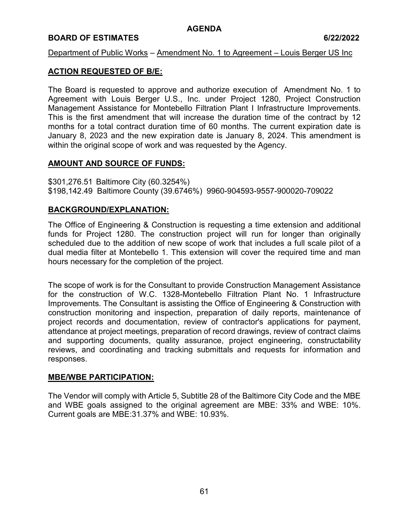## **BOARD OF ESTIMATES 6/22/2022**

### Department of Public Works – Amendment No. 1 to Agreement – Louis Berger US Inc

## **ACTION REQUESTED OF B/E:**

The Board is requested to approve and authorize execution of Amendment No. 1 to Agreement with Louis Berger U.S., Inc. under Project 1280, Project Construction Management Assistance for Montebello Filtration Plant I Infrastructure Improvements. This is the first amendment that will increase the duration time of the contract by 12 months for a total contract duration time of 60 months. The current expiration date is January 8, 2023 and the new expiration date is January 8, 2024. This amendment is within the original scope of work and was requested by the Agency.

### **AMOUNT AND SOURCE OF FUNDS:**

\$301,276.51 Baltimore City (60.3254%) \$198,142.49 Baltimore County (39.6746%) 9960-904593-9557-900020-709022

### **BACKGROUND/EXPLANATION:**

The Office of Engineering & Construction is requesting a time extension and additional funds for Project 1280. The construction project will run for longer than originally scheduled due to the addition of new scope of work that includes a full scale pilot of a dual media filter at Montebello 1. This extension will cover the required time and man hours necessary for the completion of the project.

The scope of work is for the Consultant to provide Construction Management Assistance for the construction of W.C. 1328-Montebello Filtration Plant No. 1 Infrastructure Improvements. The Consultant is assisting the Office of Engineering & Construction with construction monitoring and inspection, preparation of daily reports, maintenance of project records and documentation, review of contractor's applications for payment, attendance at project meetings, preparation of record drawings, review of contract claims and supporting documents, quality assurance, project engineering, constructability reviews, and coordinating and tracking submittals and requests for information and responses.

#### **MBE/WBE PARTICIPATION:**

The Vendor will comply with Article 5, Subtitle 28 of the Baltimore City Code and the MBE and WBE goals assigned to the original agreement are MBE: 33% and WBE: 10%. Current goals are MBE:31.37% and WBE: 10.93%.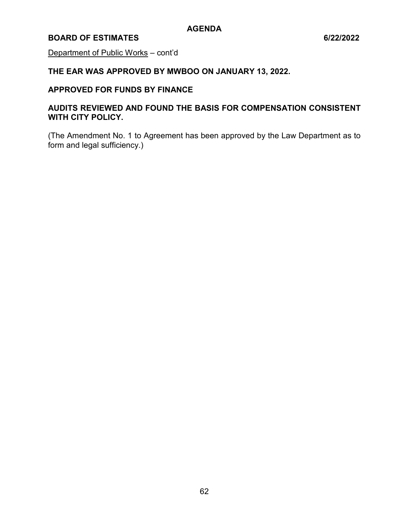## **BOARD OF ESTIMATES 6/22/2022**

Department of Public Works – cont'd

**THE EAR WAS APPROVED BY MWBOO ON JANUARY 13, 2022.** 

## **APPROVED FOR FUNDS BY FINANCE**

# **AUDITS REVIEWED AND FOUND THE BASIS FOR COMPENSATION CONSISTENT WITH CITY POLICY.**

(The Amendment No. 1 to Agreement has been approved by the Law Department as to form and legal sufficiency.)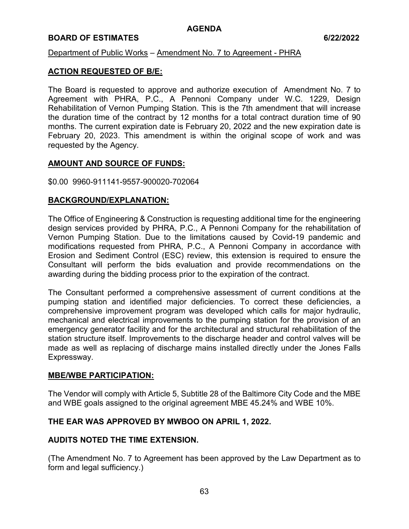### **BOARD OF ESTIMATES 6/22/2022**

### Department of Public Works – Amendment No. 7 to Agreement - PHRA

### **ACTION REQUESTED OF B/E:**

The Board is requested to approve and authorize execution of Amendment No. 7 to Agreement with PHRA, P.C., A Pennoni Company under W.C. 1229, Design Rehabilitation of Vernon Pumping Station. This is the 7th amendment that will increase the duration time of the contract by 12 months for a total contract duration time of 90 months. The current expiration date is February 20, 2022 and the new expiration date is February 20, 2023. This amendment is within the original scope of work and was requested by the Agency.

### **AMOUNT AND SOURCE OF FUNDS:**

#### \$0.00 9960-911141-9557-900020-702064

### **BACKGROUND/EXPLANATION:**

The Office of Engineering & Construction is requesting additional time for the engineering design services provided by PHRA, P.C., A Pennoni Company for the rehabilitation of Vernon Pumping Station. Due to the limitations caused by Covid-19 pandemic and modifications requested from PHRA, P.C., A Pennoni Company in accordance with Erosion and Sediment Control (ESC) review, this extension is required to ensure the Consultant will perform the bids evaluation and provide recommendations on the awarding during the bidding process prior to the expiration of the contract.

The Consultant performed a comprehensive assessment of current conditions at the pumping station and identified major deficiencies. To correct these deficiencies, a comprehensive improvement program was developed which calls for major hydraulic, mechanical and electrical improvements to the pumping station for the provision of an emergency generator facility and for the architectural and structural rehabilitation of the station structure itself. Improvements to the discharge header and control valves will be made as well as replacing of discharge mains installed directly under the Jones Falls Expressway.

#### **MBE/WBE PARTICIPATION:**

The Vendor will comply with Article 5, Subtitle 28 of the Baltimore City Code and the MBE and WBE goals assigned to the original agreement MBE 45.24% and WBE 10%.

## **THE EAR WAS APPROVED BY MWBOO ON APRIL 1, 2022.**

## **AUDITS NOTED THE TIME EXTENSION.**

(The Amendment No. 7 to Agreement has been approved by the Law Department as to form and legal sufficiency.)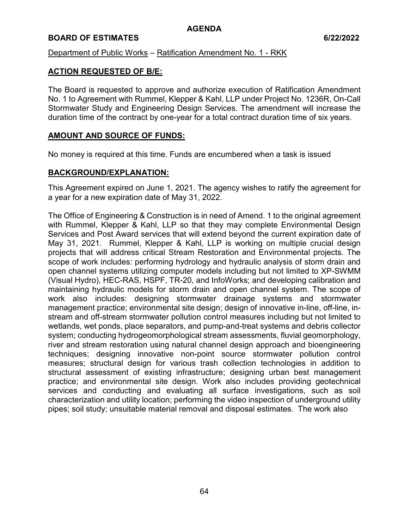### **BOARD OF ESTIMATES 6/22/2022**

### Department of Public Works – Ratification Amendment No. 1 - RKK

### **ACTION REQUESTED OF B/E:**

The Board is requested to approve and authorize execution of Ratification Amendment No. 1 to Agreement with Rummel, Klepper & Kahl, LLP under Project No. 1236R, On-Call Stormwater Study and Engineering Design Services. The amendment will increase the duration time of the contract by one-year for a total contract duration time of six years.

### **AMOUNT AND SOURCE OF FUNDS:**

No money is required at this time. Funds are encumbered when a task is issued

### **BACKGROUND/EXPLANATION:**

This Agreement expired on June 1, 2021. The agency wishes to ratify the agreement for a year for a new expiration date of May 31, 2022.

The Office of Engineering & Construction is in need of Amend. 1 to the original agreement with Rummel, Klepper & Kahl, LLP so that they may complete Environmental Design Services and Post Award services that will extend beyond the current expiration date of May 31, 2021. Rummel, Klepper & Kahl, LLP is working on multiple crucial design projects that will address critical Stream Restoration and Environmental projects. The scope of work includes: performing hydrology and hydraulic analysis of storm drain and open channel systems utilizing computer models including but not limited to XP-SWMM (Visual Hydro), HEC-RAS, HSPF, TR-20, and InfoWorks; and developing calibration and maintaining hydraulic models for storm drain and open channel system. The scope of work also includes: designing stormwater drainage systems and stormwater management practice; environmental site design; design of innovative in-line, off-line, instream and off-stream stormwater pollution control measures including but not limited to wetlands, wet ponds, place separators, and pump-and-treat systems and debris collector system; conducting hydrogeomorphological stream assessments, fluvial geomorphology, river and stream restoration using natural channel design approach and bioengineering techniques; designing innovative non-point source stormwater pollution control measures; structural design for various trash collection technologies in addition to structural assessment of existing infrastructure; designing urban best management practice; and environmental site design. Work also includes providing geotechnical services and conducting and evaluating all surface investigations, such as soil characterization and utility location; performing the video inspection of underground utility pipes; soil study; unsuitable material removal and disposal estimates. The work also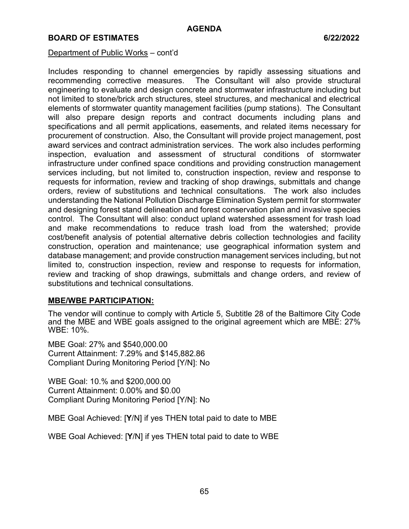#### Department of Public Works – cont'd

Includes responding to channel emergencies by rapidly assessing situations and recommending corrective measures. The Consultant will also provide structural engineering to evaluate and design concrete and stormwater infrastructure including but not limited to stone/brick arch structures, steel structures, and mechanical and electrical elements of stormwater quantity management facilities (pump stations). The Consultant will also prepare design reports and contract documents including plans and specifications and all permit applications, easements, and related items necessary for procurement of construction. Also, the Consultant will provide project management, post award services and contract administration services. The work also includes performing inspection, evaluation and assessment of structural conditions of stormwater infrastructure under confined space conditions and providing construction management services including, but not limited to, construction inspection, review and response to requests for information, review and tracking of shop drawings, submittals and change orders, review of substitutions and technical consultations. The work also includes understanding the National Pollution Discharge Elimination System permit for stormwater and designing forest stand delineation and forest conservation plan and invasive species control. The Consultant will also: conduct upland watershed assessment for trash load and make recommendations to reduce trash load from the watershed; provide cost/benefit analysis of potential alternative debris collection technologies and facility construction, operation and maintenance; use geographical information system and database management; and provide construction management services including, but not limited to, construction inspection, review and response to requests for information, review and tracking of shop drawings, submittals and change orders, and review of substitutions and technical consultations.

#### **MBE/WBE PARTICIPATION:**

The vendor will continue to comply with Article 5, Subtitle 28 of the Baltimore City Code and the MBE and WBE goals assigned to the original agreement which are MBE: 27% WBE: 10%.

MBE Goal: 27% and \$540,000.00 Current Attainment: 7.29% and \$145,882.86 Compliant During Monitoring Period [Y/N]: No

WBE Goal: 10.% and \$200,000.00 Current Attainment: 0.00% and \$0.00 Compliant During Monitoring Period [Y/N]: No

MBE Goal Achieved: [**Y**/N] if yes THEN total paid to date to MBE

WBE Goal Achieved: [**Y**/N] if yes THEN total paid to date to WBE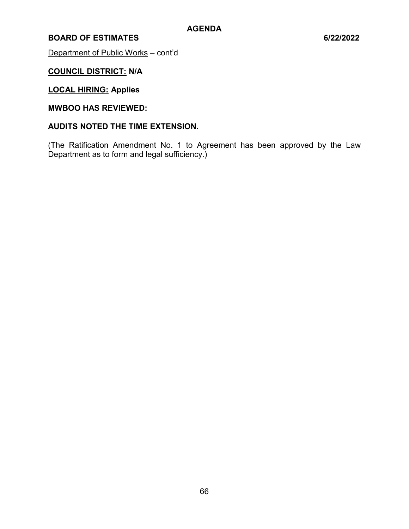Department of Public Works - cont'd

# **COUNCIL DISTRICT: N/A**

# **LOCAL HIRING: Applies**

# **MWBOO HAS REVIEWED:**

### **AUDITS NOTED THE TIME EXTENSION.**

(The Ratification Amendment No. 1 to Agreement has been approved by the Law Department as to form and legal sufficiency.)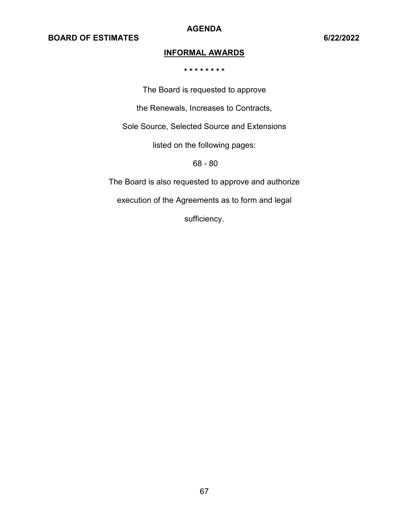**AGENDA** 

# **INFORMAL AWARDS**

**\* \* \* \* \* \* \* \*** 

The Board is requested to approve the Renewals, Increases to Contracts, Sole Source, Selected Source and Extensions listed on the following pages: 68 - 80 The Board is also requested to approve and authorize

execution of the Agreements as to form and legal

sufficiency.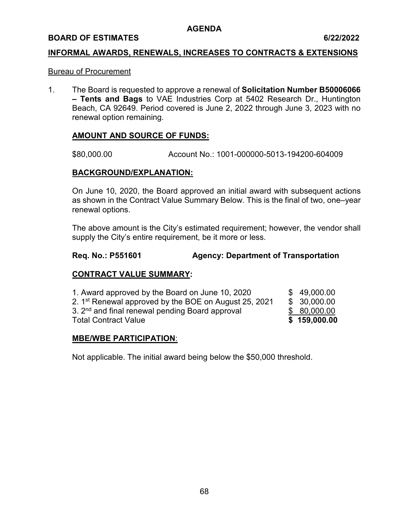#### **BOARD OF ESTIMATES 6/22/2022**

#### **INFORMAL AWARDS, RENEWALS, INCREASES TO CONTRACTS & EXTENSIONS**

#### Bureau of Procurement

1. The Board is requested to approve a renewal of **Solicitation Number B50006066 – Tents and Bags** to VAE Industries Corp at 5402 Research Dr., Huntington Beach, CA 92649. Period covered is June 2, 2022 through June 3, 2023 with no renewal option remaining.

#### **AMOUNT AND SOURCE OF FUNDS:**

\$80,000.00 Account No.: 1001-000000-5013-194200-604009

### **BACKGROUND/EXPLANATION:**

On June 10, 2020, the Board approved an initial award with subsequent actions as shown in the Contract Value Summary Below. This is the final of two, one–year renewal options.

The above amount is the City's estimated requirement; however, the vendor shall supply the City's entire requirement, be it more or less.

#### **Req. No.: P551601 Agency: Department of Transportation**

### **CONTRACT VALUE SUMMARY:**

| \$80,000.00 |
|-------------|
|             |
| \$30,000.00 |
| \$49,000.00 |
|             |

#### **MBE/WBE PARTICIPATION**:

Not applicable. The initial award being below the \$50,000 threshold.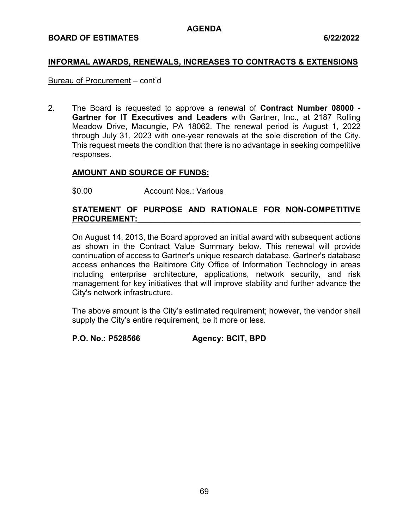## **INFORMAL AWARDS, RENEWALS, INCREASES TO CONTRACTS & EXTENSIONS**

### Bureau of Procurement – cont'd

2. The Board is requested to approve a renewal of **Contract Number 08000** - **Gartner for IT Executives and Leaders** with Gartner, Inc., at 2187 Rolling Meadow Drive, Macungie, PA 18062. The renewal period is August 1, 2022 through July 31, 2023 with one-year renewals at the sole discretion of the City. This request meets the condition that there is no advantage in seeking competitive responses.

## **AMOUNT AND SOURCE OF FUNDS:**

\$0.00 Account Nos.: Various

## **STATEMENT OF PURPOSE AND RATIONALE FOR NON-COMPETITIVE**  PROCUREMENT:

On August 14, 2013, the Board approved an initial award with subsequent actions as shown in the Contract Value Summary below. This renewal will provide continuation of access to Gartner's unique research database. Gartner's database access enhances the Baltimore City Office of Information Technology in areas including enterprise architecture, applications, network security, and risk management for key initiatives that will improve stability and further advance the City's network infrastructure.

The above amount is the City's estimated requirement; however, the vendor shall supply the City's entire requirement, be it more or less.

**P.O. No.: P528566 Agency: BCIT, BPD**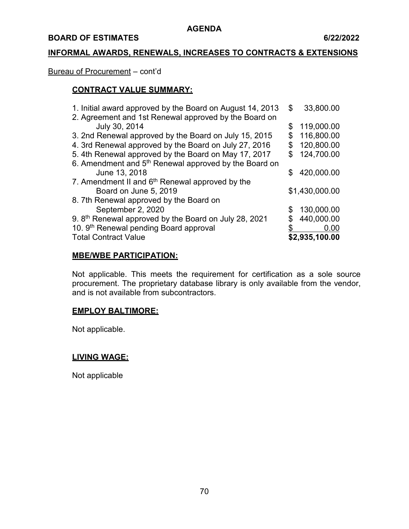#### **BOARD OF ESTIMATES 6/22/2022**

## **INFORMAL AWARDS, RENEWALS, INCREASES TO CONTRACTS & EXTENSIONS**

#### Bureau of Procurement – cont'd

# **CONTRACT VALUE SUMMARY:**

| \$  | 33,800.00      |
|-----|----------------|
|     |                |
| \$  | 119,000.00     |
|     | 116,800.00     |
| S   | 120,800.00     |
| £.  | 124,700.00     |
|     |                |
| \$. | 420,000.00     |
|     |                |
|     | \$1,430,000.00 |
|     |                |
|     | 130,000.00     |
|     | 440,000.00     |
|     | 0.00           |
|     | \$2,935,100.00 |
|     |                |

### **MBE/WBE PARTICIPATION:**

Not applicable. This meets the requirement for certification as a sole source procurement. The proprietary database library is only available from the vendor, and is not available from subcontractors.

### **EMPLOY BALTIMORE:**

Not applicable.

#### **LIVING WAGE:**

Not applicable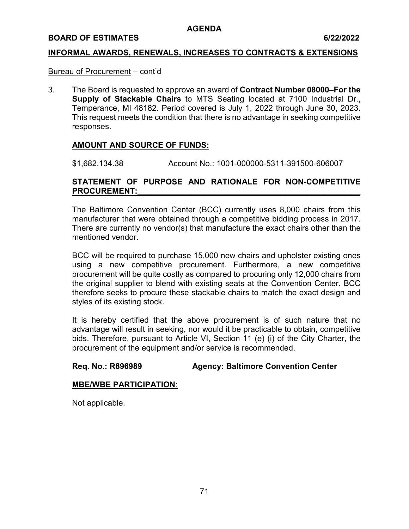#### **BOARD OF ESTIMATES 6/22/2022**

### **INFORMAL AWARDS, RENEWALS, INCREASES TO CONTRACTS & EXTENSIONS**

### Bureau of Procurement – cont'd

3. The Board is requested to approve an award of **Contract Number 08000–For the Supply of Stackable Chairs** to MTS Seating located at 7100 Industrial Dr., Temperance, MI 48182. Period covered is July 1, 2022 through June 30, 2023. This request meets the condition that there is no advantage in seeking competitive responses.

## **AMOUNT AND SOURCE OF FUNDS:**

\$1,682,134.38 Account No.: 1001-000000-5311-391500-606007

## **STATEMENT OF PURPOSE AND RATIONALE FOR NON-COMPETITIVE**  PROCUREMENT:

The Baltimore Convention Center (BCC) currently uses 8,000 chairs from this manufacturer that were obtained through a competitive bidding process in 2017. There are currently no vendor(s) that manufacture the exact chairs other than the mentioned vendor.

BCC will be required to purchase 15,000 new chairs and upholster existing ones using a new competitive procurement. Furthermore, a new competitive procurement will be quite costly as compared to procuring only 12,000 chairs from the original supplier to blend with existing seats at the Convention Center. BCC therefore seeks to procure these stackable chairs to match the exact design and styles of its existing stock.

It is hereby certified that the above procurement is of such nature that no advantage will result in seeking, nor would it be practicable to obtain, competitive bids. Therefore, pursuant to Article VI, Section 11 (e) (i) of the City Charter, the procurement of the equipment and/or service is recommended.

## **Req. No.: R896989 Agency: Baltimore Convention Center**

#### **MBE/WBE PARTICIPATION**: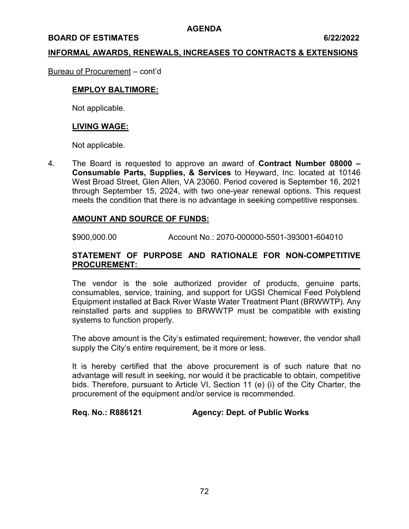#### **BOARD OF ESTIMATES** 6/22/2022

#### **INFORMAL AWARDS, RENEWALS, INCREASES TO CONTRACTS & EXTENSIONS**

Bureau of Procurement – cont'd

### **EMPLOY BALTIMORE:**

Not applicable.

#### **LIVING WAGE:**

Not applicable.

4. The Board is requested to approve an award of **Contract Number 08000 – Consumable Parts, Supplies, & Services** to Heyward, Inc. located at 10146 West Broad Street, Glen Allen, VA 23060. Period covered is September 16, 2021 through September 15, 2024, with two one-year renewal options. This request meets the condition that there is no advantage in seeking competitive responses.

#### **AMOUNT AND SOURCE OF FUNDS:**

\$900,000.00 Account No.: 2070-000000-5501-393001-604010

### **STATEMENT OF PURPOSE AND RATIONALE FOR NON-COMPETITIVE**  PROCUREMENT:

The vendor is the sole authorized provider of products, genuine parts, consumables, service, training, and support for UGSI Chemical Feed Polyblend Equipment installed at Back River Waste Water Treatment Plant (BRWWTP). Any reinstalled parts and supplies to BRWWTP must be compatible with existing systems to function properly.

The above amount is the City's estimated requirement; however, the vendor shall supply the City's entire requirement, be it more or less.

It is hereby certified that the above procurement is of such nature that no advantage will result in seeking, nor would it be practicable to obtain, competitive bids. Therefore, pursuant to Article VI, Section 11 (e) (i) of the City Charter, the procurement of the equipment and/or service is recommended.

## **Req. No.: R886121 Agency: Dept. of Public Works**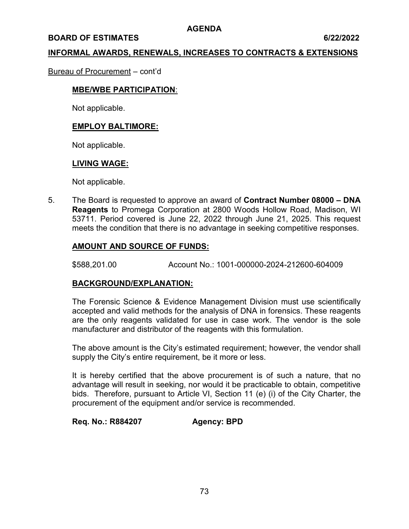#### **BOARD OF ESTIMATES** 6/22/2022

#### **INFORMAL AWARDS, RENEWALS, INCREASES TO CONTRACTS & EXTENSIONS**

#### Bureau of Procurement – cont'd

#### **MBE/WBE PARTICIPATION**:

Not applicable.

### **EMPLOY BALTIMORE:**

Not applicable.

#### **LIVING WAGE:**

Not applicable.

5. The Board is requested to approve an award of **Contract Number 08000 – DNA Reagents** to Promega Corporation at 2800 Woods Hollow Road, Madison, WI 53711. Period covered is June 22, 2022 through June 21, 2025. This request meets the condition that there is no advantage in seeking competitive responses.

### **AMOUNT AND SOURCE OF FUNDS:**

\$588,201.00 Account No.: 1001-000000-2024-212600-604009

#### **BACKGROUND/EXPLANATION:**

The Forensic Science & Evidence Management Division must use scientifically accepted and valid methods for the analysis of DNA in forensics. These reagents are the only reagents validated for use in case work. The vendor is the sole manufacturer and distributor of the reagents with this formulation.

The above amount is the City's estimated requirement; however, the vendor shall supply the City's entire requirement, be it more or less.

It is hereby certified that the above procurement is of such a nature, that no advantage will result in seeking, nor would it be practicable to obtain, competitive bids. Therefore, pursuant to Article VI, Section 11 (e) (i) of the City Charter, the procurement of the equipment and/or service is recommended.

## **Req. No.: R884207 Agency: BPD**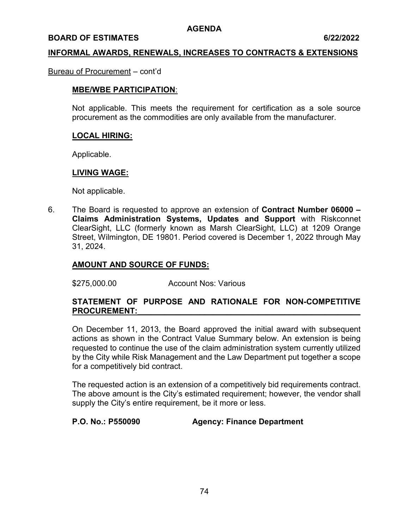#### **BOARD OF ESTIMATES** 6/22/2022

#### **INFORMAL AWARDS, RENEWALS, INCREASES TO CONTRACTS & EXTENSIONS**

#### Bureau of Procurement – cont'd

### **MBE/WBE PARTICIPATION**:

Not applicable. This meets the requirement for certification as a sole source procurement as the commodities are only available from the manufacturer.

#### **LOCAL HIRING:**

Applicable.

#### **LIVING WAGE:**

Not applicable.

6. The Board is requested to approve an extension of **Contract Number 06000 – Claims Administration Systems, Updates and Support** with Riskconnet ClearSight, LLC (formerly known as Marsh ClearSight, LLC) at 1209 Orange Street, Wilmington, DE 19801. Period covered is December 1, 2022 through May 31, 2024.

### **AMOUNT AND SOURCE OF FUNDS:**

\$275,000.00 Account Nos: Various

### **STATEMENT OF PURPOSE AND RATIONALE FOR NON-COMPETITIVE PROCUREMENT:\_\_\_\_\_\_\_\_\_\_\_\_\_\_\_\_\_\_\_\_\_\_\_\_\_\_\_\_\_\_\_\_\_\_\_\_\_\_\_\_\_\_\_\_\_\_\_\_\_\_**

On December 11, 2013, the Board approved the initial award with subsequent actions as shown in the Contract Value Summary below. An extension is being requested to continue the use of the claim administration system currently utilized by the City while Risk Management and the Law Department put together a scope for a competitively bid contract.

The requested action is an extension of a competitively bid requirements contract. The above amount is the City's estimated requirement; however, the vendor shall supply the City's entire requirement, be it more or less.

**P.O. No.: P550090 Agency: Finance Department**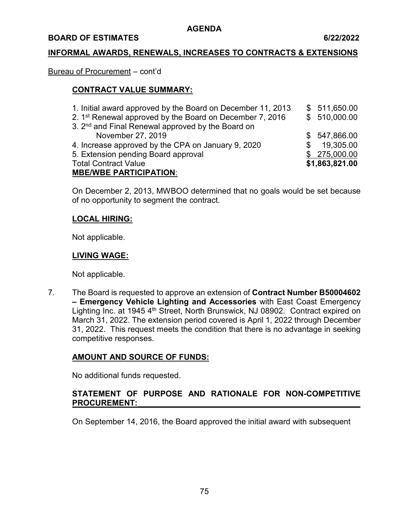#### **BOARD OF ESTIMATES 6/22/2022**

### **INFORMAL AWARDS, RENEWALS, INCREASES TO CONTRACTS & EXTENSIONS**

#### Bureau of Procurement – cont'd

### **CONTRACT VALUE SUMMARY:**

| 1. Initial award approved by the Board on December 11, 2013   |     | \$511,650.00   |
|---------------------------------------------------------------|-----|----------------|
| 2. 1st Renewal approved by the Board on December 7, 2016      |     | \$510,000.00   |
| 3. 2 <sup>nd</sup> and Final Renewal approved by the Board on |     |                |
| November 27, 2019                                             | \$. | 547,866.00     |
| 4. Increase approved by the CPA on January 9, 2020            |     | 19,305.00      |
| 5. Extension pending Board approval                           |     | \$275,000.00   |
| <b>Total Contract Value</b>                                   |     | \$1,863,821.00 |
| <b>MBE/WBE PARTICIPATION:</b>                                 |     |                |

On December 2, 2013, MWBOO determined that no goals would be set because of no opportunity to segment the contract.

#### **LOCAL HIRING:**

Not applicable.

#### **LIVING WAGE:**

Not applicable.

7. The Board is requested to approve an extension of **Contract Number B50004602 – Emergency Vehicle Lighting and Accessories** with East Coast Emergency Lighting Inc. at 1945 4<sup>th</sup> Street, North Brunswick, NJ 08902. Contract expired on March 31, 2022. The extension period covered is April 1, 2022 through December 31, 2022. This request meets the condition that there is no advantage in seeking competitive responses.

## **AMOUNT AND SOURCE OF FUNDS:**

No additional funds requested.

### **STATEMENT OF PURPOSE AND RATIONALE FOR NON-COMPETITIVE**  PROCUREMENT:

On September 14, 2016, the Board approved the initial award with subsequent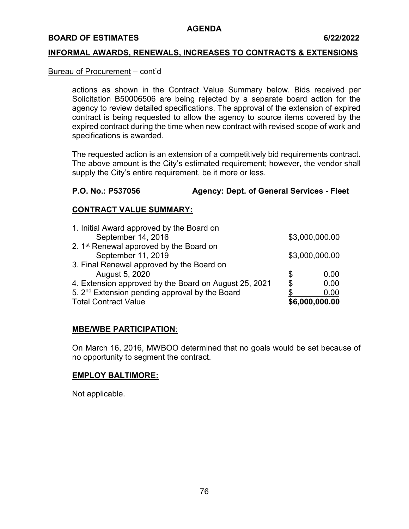#### **BOARD OF ESTIMATES 6/22/2022**

#### **INFORMAL AWARDS, RENEWALS, INCREASES TO CONTRACTS & EXTENSIONS**

### Bureau of Procurement – cont'd

actions as shown in the Contract Value Summary below. Bids received per Solicitation B50006506 are being rejected by a separate board action for the agency to review detailed specifications. The approval of the extension of expired contract is being requested to allow the agency to source items covered by the expired contract during the time when new contract with revised scope of work and specifications is awarded.

The requested action is an extension of a competitively bid requirements contract. The above amount is the City's estimated requirement; however, the vendor shall supply the City's entire requirement, be it more or less.

## **P.O. No.: P537056 Agency: Dept. of General Services - Fleet**

## **CONTRACT VALUE SUMMARY:**

| 1. Initial Award approved by the Board on                  |    |                |
|------------------------------------------------------------|----|----------------|
| September 14, 2016                                         |    | \$3,000,000.00 |
| 2. 1 <sup>st</sup> Renewal approved by the Board on        |    |                |
| September 11, 2019                                         |    | \$3,000,000.00 |
| 3. Final Renewal approved by the Board on                  |    |                |
| August 5, 2020                                             | S  | 0.00           |
| 4. Extension approved by the Board on August 25, 2021      | \$ | 0.00           |
| 5. 2 <sup>nd</sup> Extension pending approval by the Board |    | 0.00           |
| <b>Total Contract Value</b>                                |    | \$6,000,000.00 |

#### **MBE/WBE PARTICIPATION**:

On March 16, 2016, MWBOO determined that no goals would be set because of no opportunity to segment the contract.

#### **EMPLOY BALTIMORE:**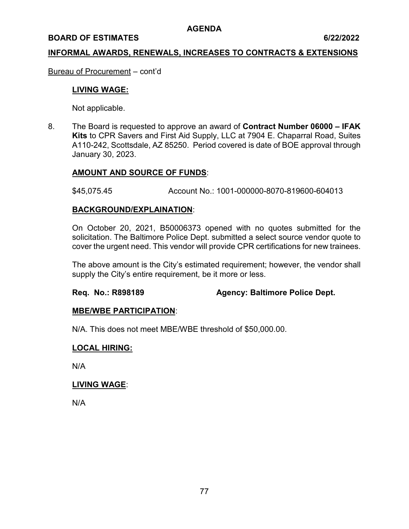#### **BOARD OF ESTIMATES 6/22/2022**

#### **INFORMAL AWARDS, RENEWALS, INCREASES TO CONTRACTS & EXTENSIONS**

Bureau of Procurement – cont'd

#### **LIVING WAGE:**

Not applicable.

8. The Board is requested to approve an award of **Contract Number 06000 – IFAK Kits** to CPR Savers and First Aid Supply, LLC at 7904 E. Chaparral Road, Suites A110-242, Scottsdale, AZ 85250. Period covered is date of BOE approval through January 30, 2023.

### **AMOUNT AND SOURCE OF FUNDS**:

\$45,075.45 Account No.: 1001-000000-8070-819600-604013

#### **BACKGROUND/EXPLAINATION**:

On October 20, 2021, B50006373 opened with no quotes submitted for the solicitation. The Baltimore Police Dept. submitted a select source vendor quote to cover the urgent need. This vendor will provide CPR certifications for new trainees.

The above amount is the City's estimated requirement; however, the vendor shall supply the City's entire requirement, be it more or less.

#### **Req. No.: R898189 Agency: Baltimore Police Dept.**

#### **MBE/WBE PARTICIPATION**:

N/A. This does not meet MBE/WBE threshold of \$50,000.00.

#### **LOCAL HIRING:**

N/A

#### **LIVING WAGE**:

N/A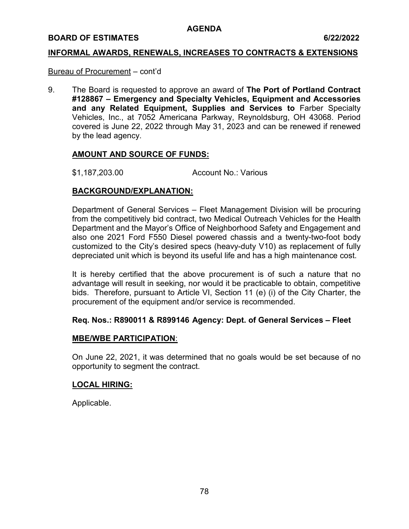#### **BOARD OF ESTIMATES 6/22/2022**

#### **INFORMAL AWARDS, RENEWALS, INCREASES TO CONTRACTS & EXTENSIONS**

#### Bureau of Procurement – cont'd

9. The Board is requested to approve an award of **The Port of Portland Contract #128867 – Emergency and Specialty Vehicles, Equipment and Accessories and any Related Equipment, Supplies and Services to** Farber Specialty Vehicles, Inc., at 7052 Americana Parkway, Reynoldsburg, OH 43068. Period covered is June 22, 2022 through May 31, 2023 and can be renewed if renewed by the lead agency.

#### **AMOUNT AND SOURCE OF FUNDS:**

\$1,187,203.00 Account No.: Various

## **BACKGROUND/EXPLANATION:**

Department of General Services – Fleet Management Division will be procuring from the competitively bid contract, two Medical Outreach Vehicles for the Health Department and the Mayor's Office of Neighborhood Safety and Engagement and also one 2021 Ford F550 Diesel powered chassis and a twenty-two-foot body customized to the City's desired specs (heavy-duty V10) as replacement of fully depreciated unit which is beyond its useful life and has a high maintenance cost.

It is hereby certified that the above procurement is of such a nature that no advantage will result in seeking, nor would it be practicable to obtain, competitive bids. Therefore, pursuant to Article VI, Section 11 (e) (i) of the City Charter, the procurement of the equipment and/or service is recommended.

#### **Req. Nos.: R890011 & R899146 Agency: Dept. of General Services – Fleet**

#### **MBE/WBE PARTICIPATION**:

On June 22, 2021, it was determined that no goals would be set because of no opportunity to segment the contract.

#### **LOCAL HIRING:**

Applicable.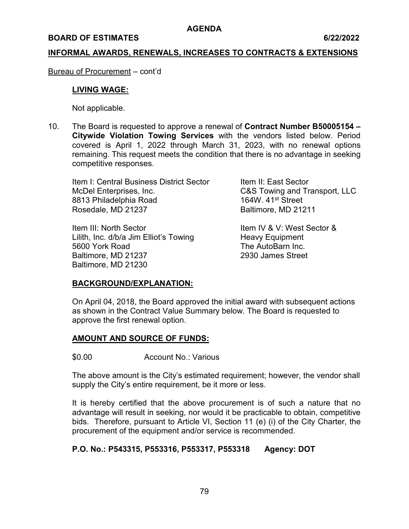#### **BOARD OF ESTIMATES** 6/22/2022

#### **INFORMAL AWARDS, RENEWALS, INCREASES TO CONTRACTS & EXTENSIONS**

Bureau of Procurement – cont'd

#### **LIVING WAGE:**

Not applicable.

10. The Board is requested to approve a renewal of **Contract Number B50005154 – Citywide Violation Towing Services** with the vendors listed below. Period covered is April 1, 2022 through March 31, 2023, with no renewal options remaining. This request meets the condition that there is no advantage in seeking competitive responses.

Item I: Central Business District Sector The Them II: East Sector McDel Enterprises, Inc. C&S Towing and Transport, LLC 8813 Philadelphia Road 164W. 41<sup>st</sup> Street Rosedale, MD 21237 Baltimore, MD 21211

Item III: North Sector **Item IV & V: West Sector &** Lilith, Inc. d/b/a Jim Elliot's Towing Heavy Equipment 5600 York Road The AutoBarn Inc. Baltimore, MD 21237 2930 James Street Baltimore, MD 21230

#### **BACKGROUND/EXPLANATION:**

On April 04, 2018, the Board approved the initial award with subsequent actions as shown in the Contract Value Summary below. The Board is requested to approve the first renewal option.

#### **AMOUNT AND SOURCE OF FUNDS:**

\$0.00 Account No.: Various

The above amount is the City's estimated requirement; however, the vendor shall supply the City's entire requirement, be it more or less.

It is hereby certified that the above procurement is of such a nature that no advantage will result in seeking, nor would it be practicable to obtain, competitive bids. Therefore, pursuant to Article VI, Section 11 (e) (i) of the City Charter, the procurement of the equipment and/or service is recommended.

#### **P.O. No.: P543315, P553316, P553317, P553318 Agency: DOT**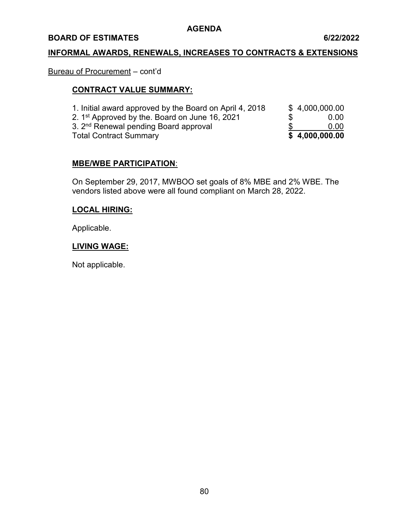#### **BOARD OF ESTIMATES 6/22/2022**

## **INFORMAL AWARDS, RENEWALS, INCREASES TO CONTRACTS & EXTENSIONS**

## Bureau of Procurement – cont'd

## **CONTRACT VALUE SUMMARY:**

| <b>Total Contract Summary</b>                              |     | \$4,000,000.00 |
|------------------------------------------------------------|-----|----------------|
| 3. 2 <sup>nd</sup> Renewal pending Board approval          |     | 0.00           |
| 2. 1 <sup>st</sup> Approved by the. Board on June 16, 2021 | SS. | 0.00           |
| 1. Initial award approved by the Board on April 4, 2018    |     | \$4,000,000.00 |

### **MBE/WBE PARTICIPATION**:

On September 29, 2017, MWBOO set goals of 8% MBE and 2% WBE. The vendors listed above were all found compliant on March 28, 2022.

#### **LOCAL HIRING:**

Applicable.

### **LIVING WAGE:**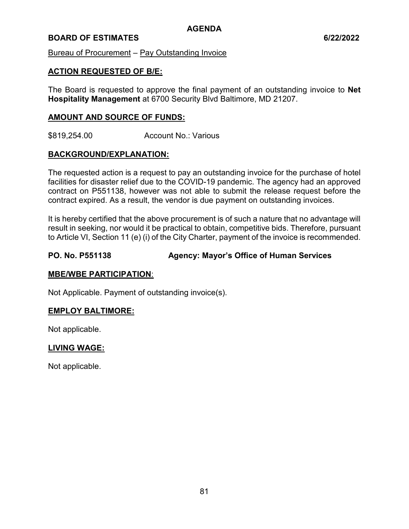### **BOARD OF ESTIMATES** 6/22/2022

Bureau of Procurement – Pay Outstanding Invoice

### **ACTION REQUESTED OF B/E:**

The Board is requested to approve the final payment of an outstanding invoice to **Net Hospitality Management** at 6700 Security Blvd Baltimore, MD 21207.

#### **AMOUNT AND SOURCE OF FUNDS:**

\$819,254.00 Account No.: Various

### **BACKGROUND/EXPLANATION:**

The requested action is a request to pay an outstanding invoice for the purchase of hotel facilities for disaster relief due to the COVID-19 pandemic. The agency had an approved contract on P551138, however was not able to submit the release request before the contract expired. As a result, the vendor is due payment on outstanding invoices.

It is hereby certified that the above procurement is of such a nature that no advantage will result in seeking, nor would it be practical to obtain, competitive bids. Therefore, pursuant to Article VI, Section 11 (e) (i) of the City Charter, payment of the invoice is recommended.

### **PO. No. P551138 Agency: Mayor's Office of Human Services**

#### **MBE/WBE PARTICIPATION**:

Not Applicable. Payment of outstanding invoice(s).

#### **EMPLOY BALTIMORE:**

Not applicable.

#### **LIVING WAGE:**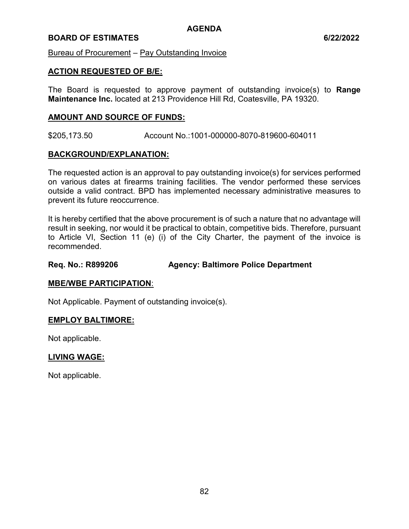### **BOARD OF ESTIMATES 6/22/2022**

Bureau of Procurement – Pay Outstanding Invoice

#### **ACTION REQUESTED OF B/E:**

The Board is requested to approve payment of outstanding invoice(s) to **Range Maintenance Inc.** located at 213 Providence Hill Rd, Coatesville, PA 19320.

#### **AMOUNT AND SOURCE OF FUNDS:**

\$205,173.50 Account No.:1001-000000-8070-819600-604011

### **BACKGROUND/EXPLANATION:**

The requested action is an approval to pay outstanding invoice(s) for services performed on various dates at firearms training facilities. The vendor performed these services outside a valid contract. BPD has implemented necessary administrative measures to prevent its future reoccurrence.

It is hereby certified that the above procurement is of such a nature that no advantage will result in seeking, nor would it be practical to obtain, competitive bids. Therefore, pursuant to Article VI, Section 11 (e) (i) of the City Charter, the payment of the invoice is recommended.

#### **Req. No.: R899206 Agency: Baltimore Police Department**

#### **MBE/WBE PARTICIPATION**:

Not Applicable. Payment of outstanding invoice(s).

#### **EMPLOY BALTIMORE:**

Not applicable.

#### **LIVING WAGE:**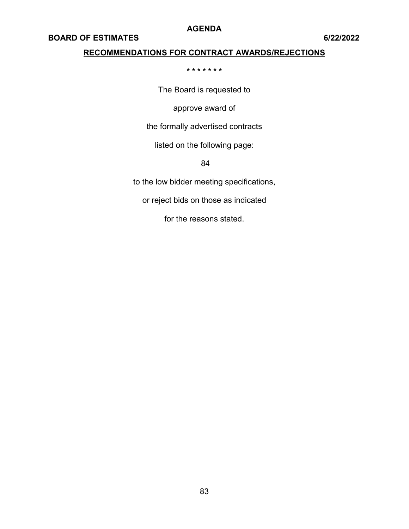## **BOARD OF ESTIMATES 6/22/2022**

## **RECOMMENDATIONS FOR CONTRACT AWARDS/REJECTIONS**

**\* \* \* \* \* \* \*** 

The Board is requested to

approve award of

the formally advertised contracts

listed on the following page:

84

to the low bidder meeting specifications,

or reject bids on those as indicated

for the reasons stated.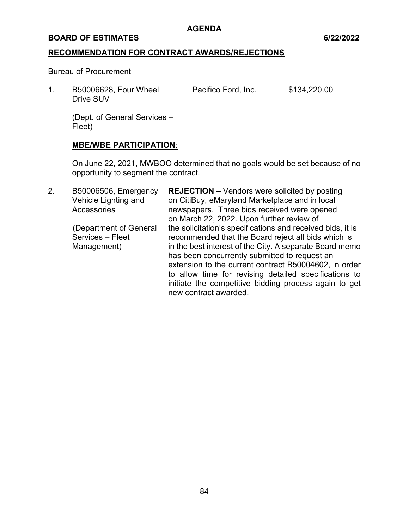#### **BOARD OF ESTIMATES** 6/22/2022

### **RECOMMENDATION FOR CONTRACT AWARDS/REJECTIONS**

#### Bureau of Procurement

1. B50006628, Four Wheel Pacifico Ford, Inc. \$134,220.00 Drive SUV

(Dept. of General Services – Fleet)

### **MBE/WBE PARTICIPATION**:

On June 22, 2021, MWBOO determined that no goals would be set because of no opportunity to segment the contract.

2. B50006506, Emergency **REJECTION –** Vendors were solicited by posting Vehicle Lighting and on CitiBuy, eMaryland Marketplace and in local Accessories **newspapers.** Three bids received were opened on March 22, 2022. Upon further review of (Department of General the solicitation's specifications and received bids, it is Services – Fleet recommended that the Board reject all bids which is Management) in the best interest of the City. A separate Board memo has been concurrently submitted to request an extension to the current contract B50004602, in order to allow time for revising detailed specifications to initiate the competitive bidding process again to get new contract awarded.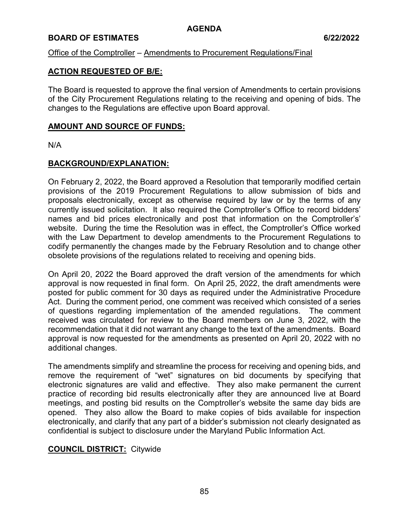## **BOARD OF ESTIMATES** 6/22/2022

### Office of the Comptroller – Amendments to Procurement Regulations/Final

## **ACTION REQUESTED OF B/E:**

The Board is requested to approve the final version of Amendments to certain provisions of the City Procurement Regulations relating to the receiving and opening of bids. The changes to the Regulations are effective upon Board approval.

### **AMOUNT AND SOURCE OF FUNDS:**

N/A

## **BACKGROUND/EXPLANATION:**

On February 2, 2022, the Board approved a Resolution that temporarily modified certain provisions of the 2019 Procurement Regulations to allow submission of bids and proposals electronically, except as otherwise required by law or by the terms of any currently issued solicitation. It also required the Comptroller's Office to record bidders' names and bid prices electronically and post that information on the Comptroller's' website. During the time the Resolution was in effect, the Comptroller's Office worked with the Law Department to develop amendments to the Procurement Regulations to codify permanently the changes made by the February Resolution and to change other obsolete provisions of the regulations related to receiving and opening bids.

On April 20, 2022 the Board approved the draft version of the amendments for which approval is now requested in final form. On April 25, 2022, the draft amendments were posted for public comment for 30 days as required under the Administrative Procedure Act. During the comment period, one comment was received which consisted of a series of questions regarding implementation of the amended regulations. The comment received was circulated for review to the Board members on June 3, 2022, with the recommendation that it did not warrant any change to the text of the amendments. Board approval is now requested for the amendments as presented on April 20, 2022 with no additional changes.

The amendments simplify and streamline the process for receiving and opening bids, and remove the requirement of "wet" signatures on bid documents by specifying that electronic signatures are valid and effective. They also make permanent the current practice of recording bid results electronically after they are announced live at Board meetings, and posting bid results on the Comptroller's website the same day bids are opened. They also allow the Board to make copies of bids available for inspection electronically, and clarify that any part of a bidder's submission not clearly designated as confidential is subject to disclosure under the Maryland Public Information Act.

## **COUNCIL DISTRICT:** Citywide